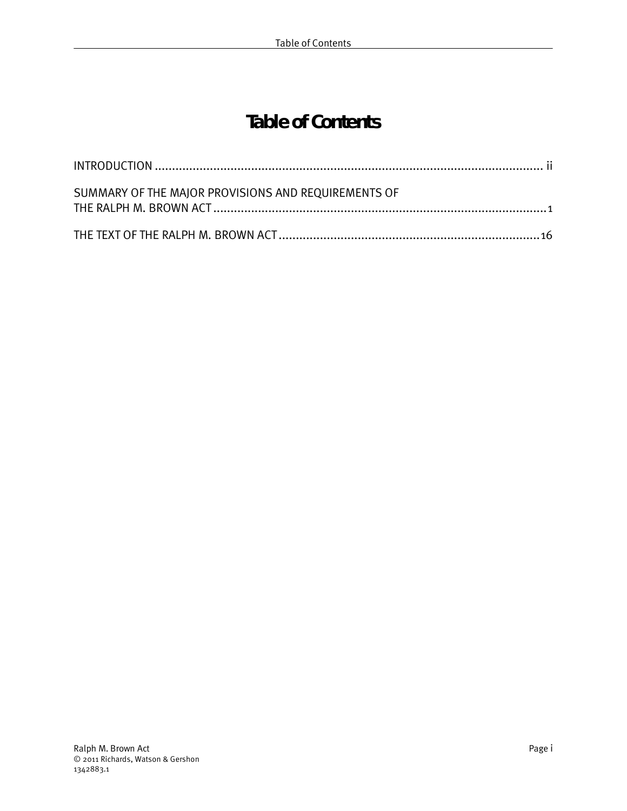# **Table of Contents**

| SUMMARY OF THE MAJOR PROVISIONS AND REQUIREMENTS OF |  |
|-----------------------------------------------------|--|
|                                                     |  |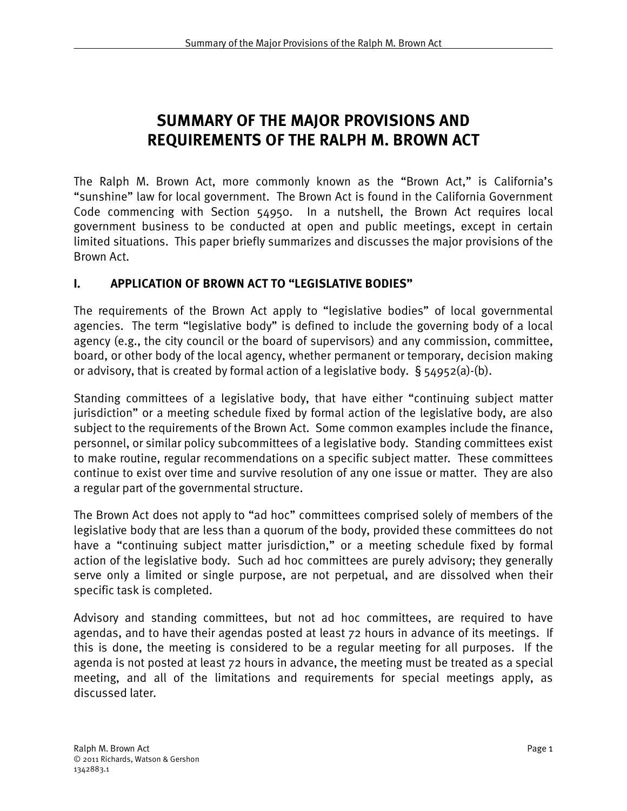## **SUMMARY OF THE MAJOR PROVISIONS AND REQUIREMENTS OF THE RALPH M. BROWN ACT**

The Ralph M. Brown Act, more commonly known as the "Brown Act," is California's "sunshine" law for local government. The Brown Act is found in the California Government Code commencing with Section 54950. In a nutshell, the Brown Act requires local government business to be conducted at open and public meetings, except in certain limited situations. This paper briefly summarizes and discusses the major provisions of the Brown Act.

#### **I. APPLICATION OF BROWN ACT TO "LEGISLATIVE BODIES"**

The requirements of the Brown Act apply to "legislative bodies" of local governmental agencies. The term "legislative body" is defined to include the governing body of a local agency (e.g., the city council or the board of supervisors) and any commission, committee, board, or other body of the local agency, whether permanent or temporary, decision making or advisory, that is created by formal action of a legislative body.  $\S$  54952(a)-(b).

Standing committees of a legislative body, that have either "continuing subject matter jurisdiction" or a meeting schedule fixed by formal action of the legislative body, are also subject to the requirements of the Brown Act. Some common examples include the finance, personnel, or similar policy subcommittees of a legislative body. Standing committees exist to make routine, regular recommendations on a specific subject matter. These committees continue to exist over time and survive resolution of any one issue or matter. They are also a regular part of the governmental structure.

The Brown Act does not apply to "ad hoc" committees comprised solely of members of the legislative body that are less than a quorum of the body, provided these committees do not have a "continuing subject matter jurisdiction," or a meeting schedule fixed by formal action of the legislative body. Such ad hoc committees are purely advisory; they generally serve only a limited or single purpose, are not perpetual, and are dissolved when their specific task is completed.

Advisory and standing committees, but not ad hoc committees, are required to have agendas, and to have their agendas posted at least 72 hours in advance of its meetings. If this is done, the meeting is considered to be a regular meeting for all purposes. If the agenda is not posted at least 72 hours in advance, the meeting must be treated as a special meeting, and all of the limitations and requirements for special meetings apply, as discussed later.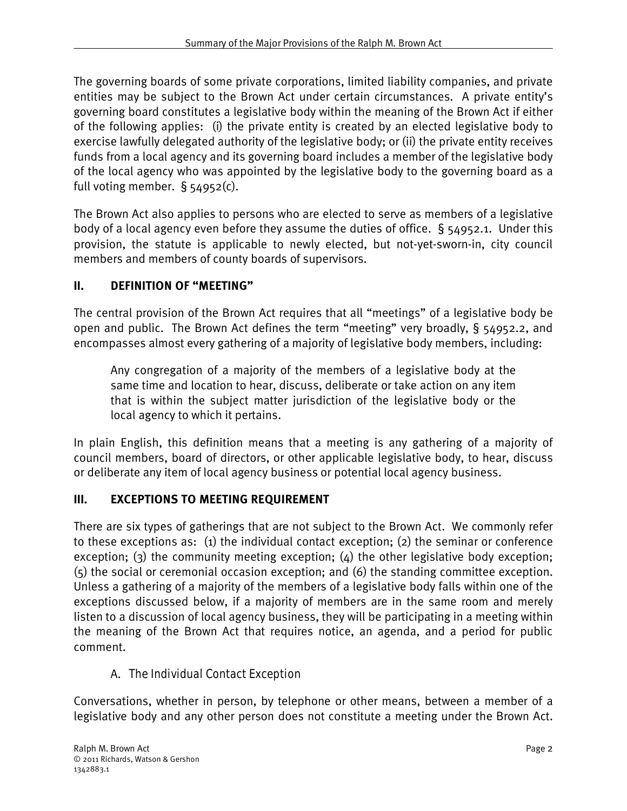The governing boards of some private corporations, limited liability companies, and private entities may be subject to the Brown Act under certain circumstances. A private entity's governing board constitutes a legislative body within the meaning of the Brown Act if either of the following applies: (i) the private entity is created by an elected legislative body to exercise lawfully delegated authority of the legislative body; or (ii) the private entity receives funds from a local agency and its governing board includes a member of the legislative body of the local agency who was appointed by the legislative body to the governing board as a full voting member.  $\S$  54952(c).

The Brown Act also applies to persons who are elected to serve as members of a legislative body of a local agency even before they assume the duties of office. § 54952.1. Under this provision, the statute is applicable to newly elected, but not-yet-sworn-in, city council members and members of county boards of supervisors.

## **II. DEFINITION OF "MEETING"**

The central provision of the Brown Act requires that all "meetings" of a legislative body be open and public. The Brown Act defines the term "meeting" very broadly, § 54952.2, and encompasses almost every gathering of a majority of legislative body members, including:

Any congregation of a majority of the members of a legislative body at the same time and location to hear, discuss, deliberate or take action on any item that is within the subject matter jurisdiction of the legislative body or the local agency to which it pertains.

In plain English, this definition means that a meeting is any gathering of a majority of council members, board of directors, or other applicable legislative body, to hear, discuss or deliberate any item of local agency business or potential local agency business.

## **III. EXCEPTIONS TO MEETING REQUIREMENT**

There are six types of gatherings that are not subject to the Brown Act. We commonly refer to these exceptions as: (1) the individual contact exception; (2) the seminar or conference exception; (3) the community meeting exception;  $(4)$  the other legislative body exception; (5) the social or ceremonial occasion exception; and (6) the standing committee exception. Unless a gathering of a majority of the members of a legislative body falls within one of the exceptions discussed below, if a majority of members are in the same room and merely listen to a discussion of local agency business, they will be participating in a meeting within the meaning of the Brown Act that requires notice, an agenda, and a period for public comment.

A. *The Individual Contact Exception*

Conversations, whether in person, by telephone or other means, between a member of a legislative body and any other person does not constitute a meeting under the Brown Act.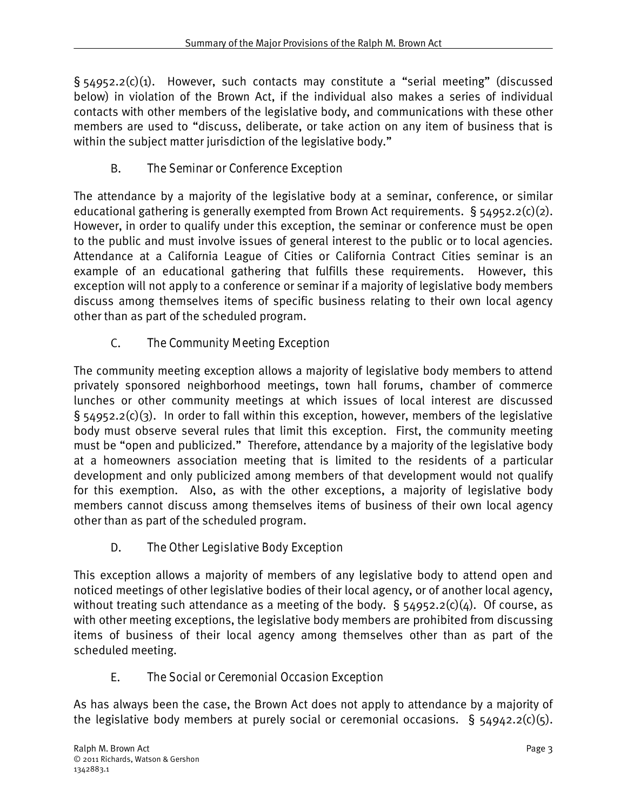$\S$  54952.2(c)(1). However, such contacts may constitute a "serial meeting" (discussed below) in violation of the Brown Act, if the individual also makes a series of individual contacts with other members of the legislative body, and communications with these other members are used to "discuss, deliberate, or take action on any item of business that is within the subject matter jurisdiction of the legislative body."

B. *The Seminar or Conference Exception*

The attendance by a majority of the legislative body at a seminar, conference, or similar educational gathering is generally exempted from Brown Act requirements. § 54952.2(c)(2). However, in order to qualify under this exception, the seminar or conference must be open to the public and must involve issues of general interest to the public or to local agencies. Attendance at a California League of Cities or California Contract Cities seminar is an example of an educational gathering that fulfills these requirements. However, this exception will not apply to a conference or seminar if a majority of legislative body members discuss among themselves items of specific business relating to their own local agency other than as part of the scheduled program.

C. *The Community Meeting Exception*

The community meeting exception allows a majority of legislative body members to attend privately sponsored neighborhood meetings, town hall forums, chamber of commerce lunches or other community meetings at which issues of local interest are discussed  $\S$  54952.2(c)(3). In order to fall within this exception, however, members of the legislative body must observe several rules that limit this exception. First, the community meeting must be "open and publicized." Therefore, attendance by a majority of the legislative body at a homeowners association meeting that is limited to the residents of a particular development and only publicized among members of that development would not qualify for this exemption. Also, as with the other exceptions, a majority of legislative body members cannot discuss among themselves items of business of their own local agency other than as part of the scheduled program.

D. *The Other Legislative Body Exception*

This exception allows a majority of members of any legislative body to attend open and noticed meetings of other legislative bodies of their local agency, or of another local agency, without treating such attendance as a meeting of the body.  $\S$  54952.2(c)(4). Of course, as with other meeting exceptions, the legislative body members are prohibited from discussing items of business of their local agency among themselves other than as part of the scheduled meeting.

E. *The Social or Ceremonial Occasion Exception*

As has always been the case, the Brown Act does not apply to attendance by a majority of the legislative body members at purely social or ceremonial occasions. § 54942.2(c)(5).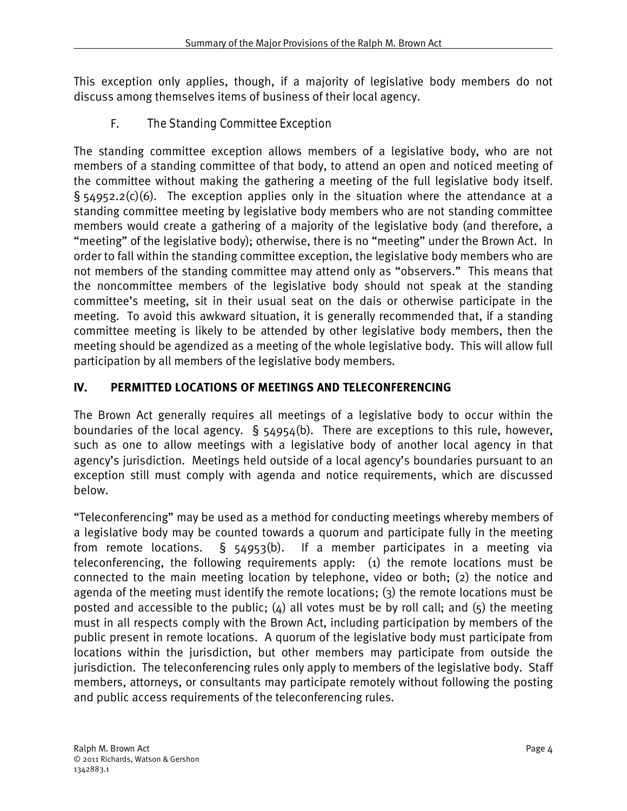This exception only applies, though, if a majority of legislative body members do not discuss among themselves items of business of their local agency.

F. *The Standing Committee Exception*

The standing committee exception allows members of a legislative body, who are not members of a standing committee of that body, to attend an open and noticed meeting of the committee without making the gathering a meeting of the full legislative body itself.  $\S$  54952.2(c)(6). The exception applies only in the situation where the attendance at a standing committee meeting by legislative body members who are not standing committee members would create a gathering of a majority of the legislative body (and therefore, a "meeting" of the legislative body); otherwise, there is no "meeting" under the Brown Act. In order to fall within the standing committee exception, the legislative body members who are not members of the standing committee may attend only as "observers." This means that the noncommittee members of the legislative body should not speak at the standing committee's meeting, sit in their usual seat on the dais or otherwise participate in the meeting. To avoid this awkward situation, it is generally recommended that, if a standing committee meeting is likely to be attended by other legislative body members, then the meeting should be agendized as a meeting of the whole legislative body. This will allow full participation by all members of the legislative body members.

## **IV. PERMITTED LOCATIONS OF MEETINGS AND TELECONFERENCING**

The Brown Act generally requires all meetings of a legislative body to occur within the boundaries of the local agency.  $\S$  54954(b). There are exceptions to this rule, however, such as one to allow meetings with a legislative body of another local agency in that agency's jurisdiction. Meetings held outside of a local agency's boundaries pursuant to an exception still must comply with agenda and notice requirements, which are discussed below.

"Teleconferencing" may be used as a method for conducting meetings whereby members of a legislative body may be counted towards a quorum and participate fully in the meeting from remote locations.  $\S$  54953(b). If a member participates in a meeting via teleconferencing, the following requirements apply: (1) the remote locations must be connected to the main meeting location by telephone, video or both; (2) the notice and agenda of the meeting must identify the remote locations; (3) the remote locations must be posted and accessible to the public;  $(4)$  all votes must be by roll call; and  $(5)$  the meeting must in all respects comply with the Brown Act, including participation by members of the public present in remote locations. A quorum of the legislative body must participate from locations within the jurisdiction, but other members may participate from outside the jurisdiction. The teleconferencing rules only apply to members of the legislative body. Staff members, attorneys, or consultants may participate remotely without following the posting and public access requirements of the teleconferencing rules.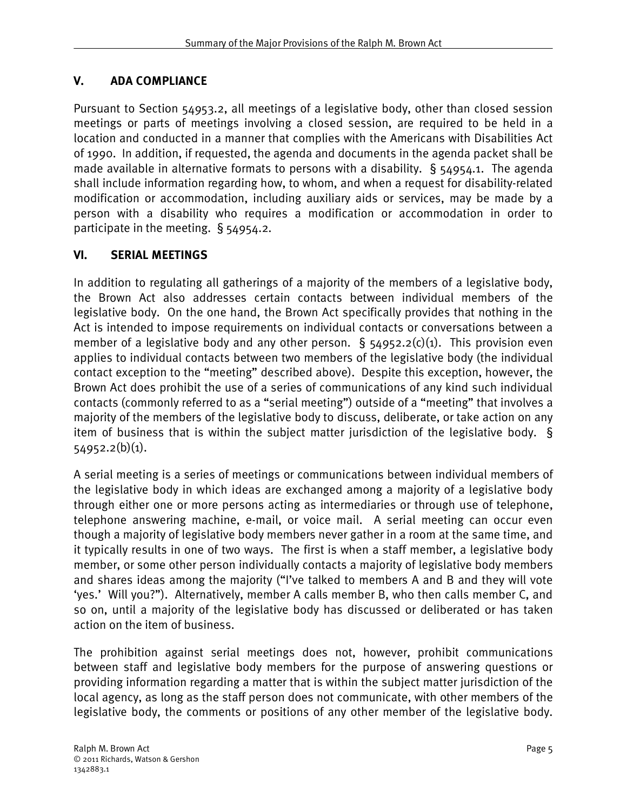## **V. ADA COMPLIANCE**

Pursuant to Section 54953.2, all meetings of a legislative body, other than closed session meetings or parts of meetings involving a closed session, are required to be held in a location and conducted in a manner that complies with the Americans with Disabilities Act of 1990. In addition, if requested, the agenda and documents in the agenda packet shall be made available in alternative formats to persons with a disability. § 54954.1. The agenda shall include information regarding how, to whom, and when a request for disability-related modification or accommodation, including auxiliary aids or services, may be made by a person with a disability who requires a modification or accommodation in order to participate in the meeting. § 54954.2.

## **VI. SERIAL MEETINGS**

In addition to regulating all gatherings of a majority of the members of a legislative body, the Brown Act also addresses certain contacts between individual members of the legislative body. On the one hand, the Brown Act specifically provides that nothing in the Act is intended to impose requirements on individual contacts or conversations between a member of a legislative body and any other person.  $\S$  54952.2(c)(1). This provision even applies to individual contacts between two members of the legislative body (the individual contact exception to the "meeting" described above). Despite this exception, however, the Brown Act does prohibit the use of a series of communications of any kind such individual contacts (commonly referred to as a "serial meeting") outside of a "meeting" that involves a majority of the members of the legislative body to discuss, deliberate, or take action on any item of business that is within the subject matter jurisdiction of the legislative body. § 54952.2(b)(1).

A serial meeting is a series of meetings or communications between individual members of the legislative body in which ideas are exchanged among a majority of a legislative body through either one or more persons acting as intermediaries or through use of telephone, telephone answering machine, e-mail, or voice mail. A serial meeting can occur even though a majority of legislative body members never gather in a room at the same time, and it typically results in one of two ways. The first is when a staff member, a legislative body member, or some other person individually contacts a majority of legislative body members and shares ideas among the majority ("I've talked to members A and B and they will vote 'yes.' Will you?"). Alternatively, member A calls member B, who then calls member C, and so on, until a majority of the legislative body has discussed or deliberated or has taken action on the item of business.

The prohibition against serial meetings does not, however, prohibit communications between staff and legislative body members for the purpose of answering questions or providing information regarding a matter that is within the subject matter jurisdiction of the local agency, as long as the staff person does not communicate, with other members of the legislative body, the comments or positions of any other member of the legislative body.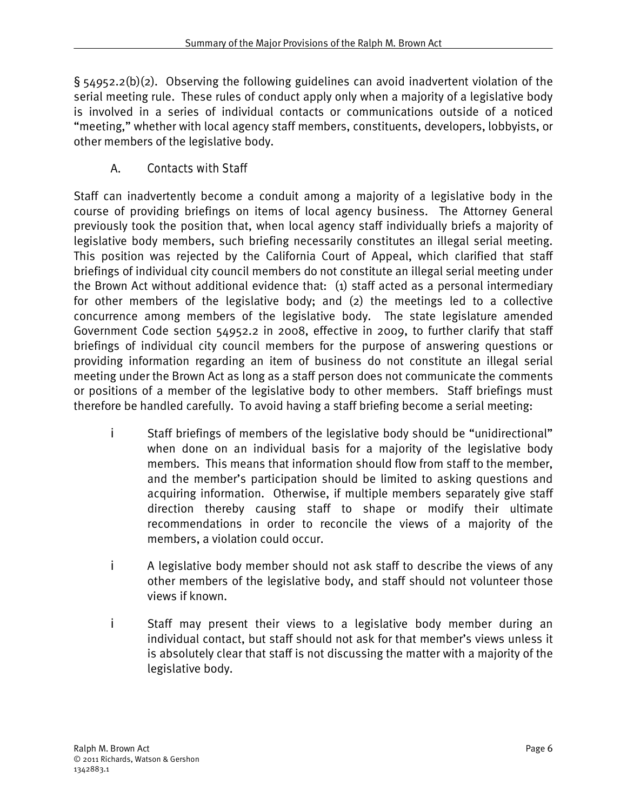§ 54952.2(b)(2). Observing the following guidelines can avoid inadvertent violation of the serial meeting rule. These rules of conduct apply only when a majority of a legislative body is involved in a series of individual contacts or communications outside of a noticed "meeting," whether with local agency staff members, constituents, developers, lobbyists, or other members of the legislative body.

A. *Contacts with Staff*

Staff can inadvertently become a conduit among a majority of a legislative body in the course of providing briefings on items of local agency business. The Attorney General previously took the position that, when local agency staff individually briefs a majority of legislative body members, such briefing necessarily constitutes an illegal serial meeting. This position was rejected by the California Court of Appeal, which clarified that staff briefings of individual city council members do not constitute an illegal serial meeting under the Brown Act without additional evidence that: (1) staff acted as a personal intermediary for other members of the legislative body; and (2) the meetings led to a collective concurrence among members of the legislative body. The state legislature amended Government Code section 54952.2 in 2008, effective in 2009, to further clarify that staff briefings of individual city council members for the purpose of answering questions or providing information regarding an item of business do not constitute an illegal serial meeting under the Brown Act as long as a staff person does not communicate the comments or positions of a member of the legislative body to other members. Staff briefings must therefore be handled carefully. To avoid having a staff briefing become a serial meeting:

- i. Staff briefings of members of the legislative body should be "unidirectional" when done on an individual basis for a majority of the legislative body members. This means that information should flow from staff to the member, and the member's participation should be limited to asking questions and acquiring information. Otherwise, if multiple members separately give staff direction thereby causing staff to shape or modify their ultimate recommendations in order to reconcile the views of a majority of the members, a violation could occur.
- j. A legislative body member should not ask staff to describe the views of any other members of the legislative body, and staff should not volunteer those views if known.
- i. Staff may present their views to a legislative body member during an individual contact, but staff should not ask for that member's views unless it is absolutely clear that staff is not discussing the matter with a majority of the legislative body.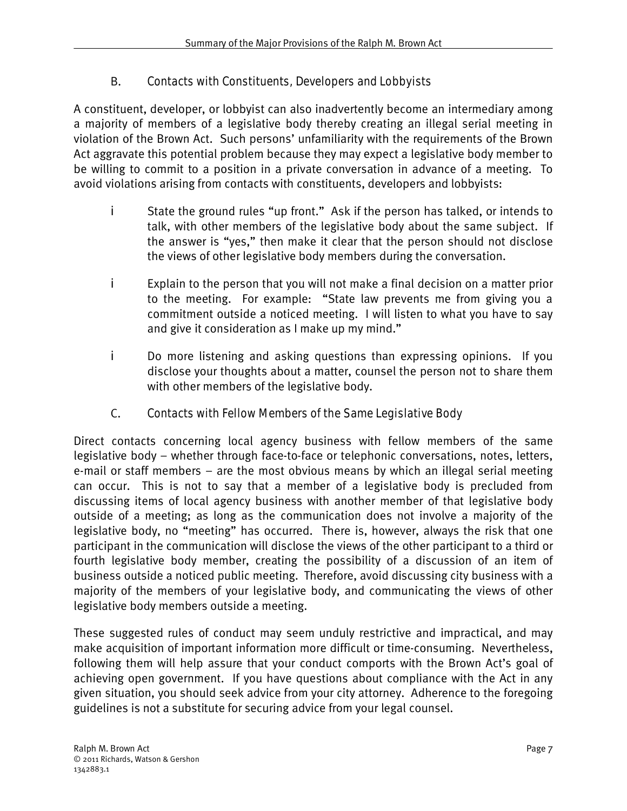## B. *Contacts with Constituents, Developers and Lobbyists*

A constituent, developer, or lobbyist can also inadvertently become an intermediary among a majority of members of a legislative body thereby creating an illegal serial meeting in violation of the Brown Act. Such persons' unfamiliarity with the requirements of the Brown Act aggravate this potential problem because they may expect a legislative body member to be willing to commit to a position in a private conversation in advance of a meeting. To avoid violations arising from contacts with constituents, developers and lobbyists:

- i. State the ground rules "up front." Ask if the person has talked, or intends to talk, with other members of the legislative body about the same subject. If the answer is "yes," then make it clear that the person should not disclose the views of other legislative body members during the conversation.
- i. Explain to the person that you will not make a final decision on a matter prior to the meeting. For example: "State law prevents me from giving you a commitment outside a noticed meeting. I will listen to what you have to say and give it consideration as I make up my mind."
- i. Do more listening and asking questions than expressing opinions. If you disclose your thoughts about a matter, counsel the person not to share them with other members of the legislative body.
- C. *Contacts with Fellow Members of the Same Legislative Body*

Direct contacts concerning local agency business with fellow members of the same legislative body – whether through face-to-face or telephonic conversations, notes, letters, e-mail or staff members – are the most obvious means by which an illegal serial meeting can occur. This is not to say that a member of a legislative body is precluded from discussing items of local agency business with another member of that legislative body outside of a meeting; as long as the communication does not involve a majority of the legislative body, no "meeting" has occurred. There is, however, always the risk that one participant in the communication will disclose the views of the other participant to a third or fourth legislative body member, creating the possibility of a discussion of an item of business outside a noticed public meeting. Therefore, avoid discussing city business with a majority of the members of your legislative body, and communicating the views of other legislative body members outside a meeting.

These suggested rules of conduct may seem unduly restrictive and impractical, and may make acquisition of important information more difficult or time-consuming. Nevertheless, following them will help assure that your conduct comports with the Brown Act's goal of achieving open government. If you have questions about compliance with the Act in any given situation, you should seek advice from your city attorney. Adherence to the foregoing guidelines is not a substitute for securing advice from your legal counsel.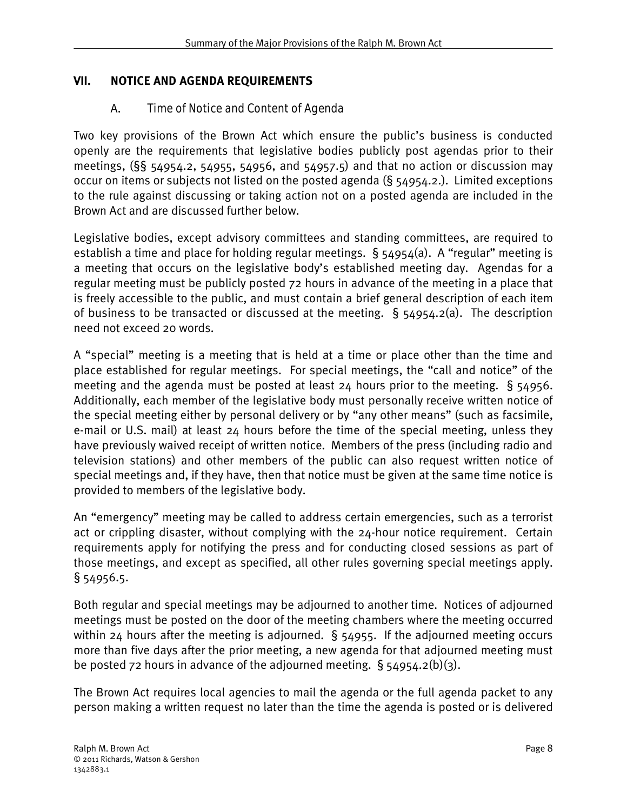#### **VII. NOTICE AND AGENDA REQUIREMENTS**

## A. *Time of Notice and Content of Agenda*

Two key provisions of the Brown Act which ensure the public's business is conducted openly are the requirements that legislative bodies publicly post agendas prior to their meetings, (§§ 54954.2, 54955, 54956, and 54957.5) and that no action or discussion may occur on items or subjects not listed on the posted agenda (§ 54954.2.). Limited exceptions to the rule against discussing or taking action not on a posted agenda are included in the Brown Act and are discussed further below.

Legislative bodies, except advisory committees and standing committees, are required to establish a time and place for holding regular meetings. § 54954(a). A "regular" meeting is a meeting that occurs on the legislative body's established meeting day. Agendas for a regular meeting must be publicly posted 72 hours in advance of the meeting in a place that is freely accessible to the public, and must contain a brief general description of each item of business to be transacted or discussed at the meeting.  $\S$  54954.2(a). The description need not exceed 20 words.

A "special" meeting is a meeting that is held at a time or place other than the time and place established for regular meetings. For special meetings, the "call and notice" of the meeting and the agenda must be posted at least 24 hours prior to the meeting. § 54956. Additionally, each member of the legislative body must personally receive written notice of the special meeting either by personal delivery or by "any other means" (such as facsimile, e-mail or U.S. mail) at least 24 hours before the time of the special meeting, unless they have previously waived receipt of written notice. Members of the press (including radio and television stations) and other members of the public can also request written notice of special meetings and, if they have, then that notice must be given at the same time notice is provided to members of the legislative body.

An "emergency" meeting may be called to address certain emergencies, such as a terrorist act or crippling disaster, without complying with the 24-hour notice requirement. Certain requirements apply for notifying the press and for conducting closed sessions as part of those meetings, and except as specified, all other rules governing special meetings apply. § 54956.5.

Both regular and special meetings may be adjourned to another time. Notices of adjourned meetings must be posted on the door of the meeting chambers where the meeting occurred within 24 hours after the meeting is adjourned. § 54955. If the adjourned meeting occurs more than five days after the prior meeting, a new agenda for that adjourned meeting must be posted 72 hours in advance of the adjourned meeting.  $\S$  54954.2(b)(3).

The Brown Act requires local agencies to mail the agenda or the full agenda packet to any person making a written request no later than the time the agenda is posted or is delivered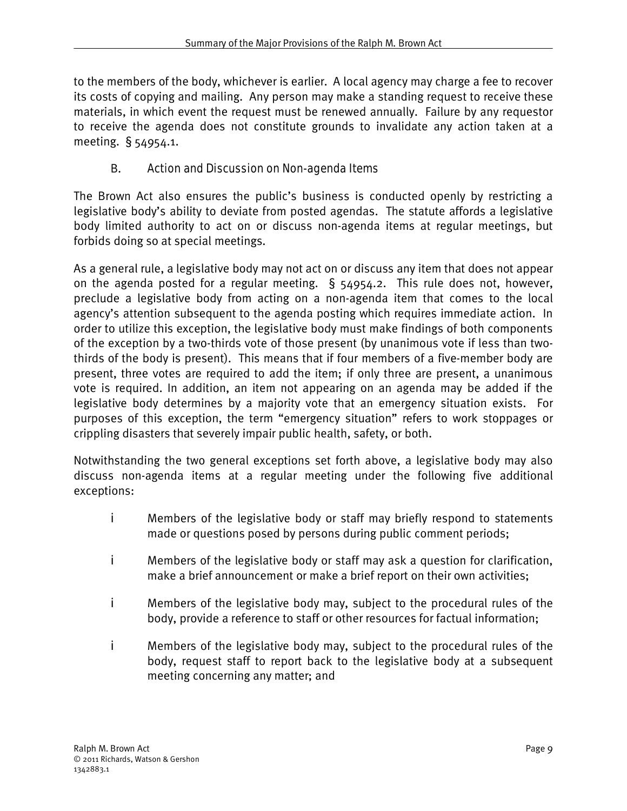to the members of the body, whichever is earlier. A local agency may charge a fee to recover its costs of copying and mailing. Any person may make a standing request to receive these materials, in which event the request must be renewed annually. Failure by any requestor to receive the agenda does not constitute grounds to invalidate any action taken at a meeting. § 54954.1.

## B. *Action and Discussion on Non-agenda Items*

The Brown Act also ensures the public's business is conducted openly by restricting a legislative body's ability to deviate from posted agendas. The statute affords a legislative body limited authority to act on or discuss non-agenda items at regular meetings, but forbids doing so at special meetings.

As a general rule, a legislative body may not act on or discuss any item that does not appear on the agenda posted for a regular meeting. § 54954.2. This rule does not, however, preclude a legislative body from acting on a non-agenda item that comes to the local agency's attention subsequent to the agenda posting which requires immediate action. In order to utilize this exception, the legislative body must make findings of both components of the exception by a two-thirds vote of those present (by unanimous vote if less than twothirds of the body is present). This means that if four members of a five-member body are present, three votes are required to add the item; if only three are present, a unanimous vote is required. In addition, an item not appearing on an agenda may be added if the legislative body determines by a majority vote that an emergency situation exists. For purposes of this exception, the term "emergency situation" refers to work stoppages or crippling disasters that severely impair public health, safety, or both.

Notwithstanding the two general exceptions set forth above, a legislative body may also discuss non-agenda items at a regular meeting under the following five additional exceptions:

- i. Members of the legislative body or staff may briefly respond to statements made or questions posed by persons during public comment periods;
- i. Members of the legislative body or staff may ask a question for clarification, make a brief announcement or make a brief report on their own activities;
- i. Members of the legislative body may, subject to the procedural rules of the body, provide a reference to staff or other resources for factual information;
- i. Members of the legislative body may, subject to the procedural rules of the body, request staff to report back to the legislative body at a subsequent meeting concerning any matter; and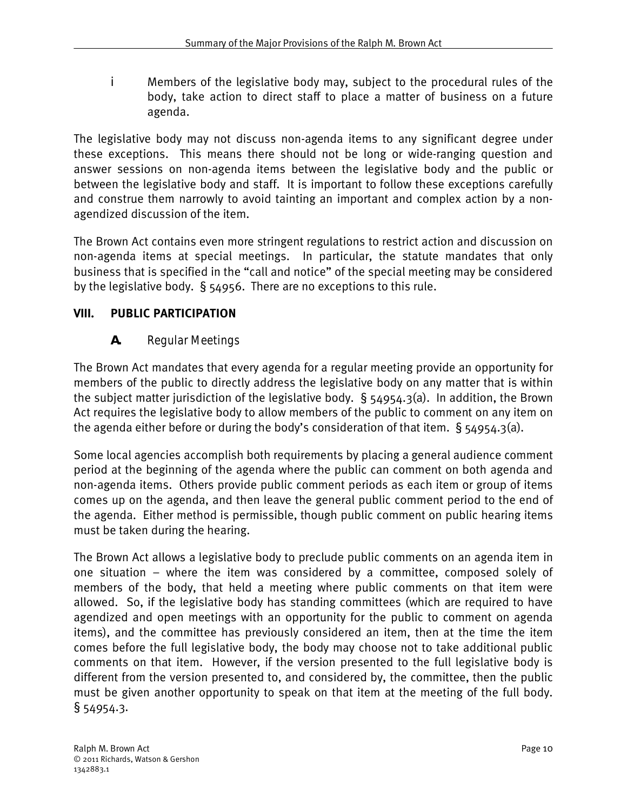i. Members of the legislative body may, subject to the procedural rules of the body, take action to direct staff to place a matter of business on a future agenda.

The legislative body may not discuss non-agenda items to any significant degree under these exceptions. This means there should not be long or wide-ranging question and answer sessions on non-agenda items between the legislative body and the public or between the legislative body and staff. It is important to follow these exceptions carefully and construe them narrowly to avoid tainting an important and complex action by a nonagendized discussion of the item.

The Brown Act contains even more stringent regulations to restrict action and discussion on non-agenda items at special meetings. In particular, the statute mandates that only business that is specified in the "call and notice" of the special meeting may be considered by the legislative body. § 54956. There are no exceptions to this rule.

## **VIII. PUBLIC PARTICIPATION**

**A.** *Regular Meetings*

The Brown Act mandates that every agenda for a regular meeting provide an opportunity for members of the public to directly address the legislative body on any matter that is within the subject matter jurisdiction of the legislative body. § 54954.3(a). In addition, the Brown Act requires the legislative body to allow members of the public to comment on any item on the agenda either before or during the body's consideration of that item.  $\S$  54954.3(a).

Some local agencies accomplish both requirements by placing a general audience comment period at the beginning of the agenda where the public can comment on both agenda and non-agenda items. Others provide public comment periods as each item or group of items comes up on the agenda, and then leave the general public comment period to the end of the agenda. Either method is permissible, though public comment on public hearing items must be taken during the hearing.

The Brown Act allows a legislative body to preclude public comments on an agenda item in one situation – where the item was considered by a committee, composed solely of members of the body, that held a meeting where public comments on that item were allowed. So, if the legislative body has standing committees (which are required to have agendized and open meetings with an opportunity for the public to comment on agenda items), and the committee has previously considered an item, then at the time the item comes before the full legislative body, the body may choose not to take additional public comments on that item. However, if the version presented to the full legislative body is different from the version presented to, and considered by, the committee, then the public must be given another opportunity to speak on that item at the meeting of the full body. § 54954.3.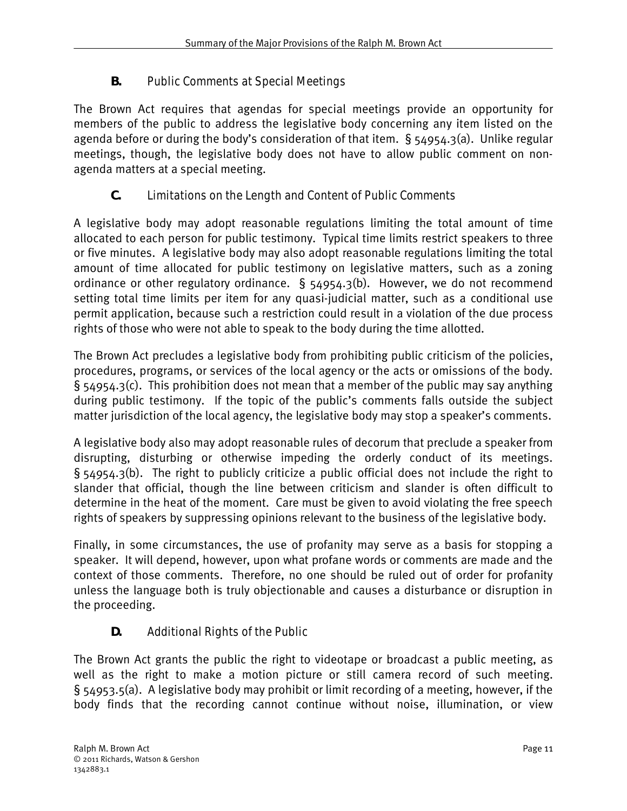## **B.** *Public Comments at Special Meetings*

The Brown Act requires that agendas for special meetings provide an opportunity for members of the public to address the legislative body concerning any item listed on the agenda before or during the body's consideration of that item. § 54954.3(a). Unlike regular meetings, though, the legislative body does not have to allow public comment on nonagenda matters at a special meeting.

## **C.** *Limitations on the Length and Content of Public Comments*

A legislative body may adopt reasonable regulations limiting the total amount of time allocated to each person for public testimony. Typical time limits restrict speakers to three or five minutes. A legislative body may also adopt reasonable regulations limiting the total amount of time allocated for public testimony on legislative matters, such as a zoning ordinance or other regulatory ordinance. § 54954.3(b). However, we do not recommend setting total time limits per item for any quasi-judicial matter, such as a conditional use permit application, because such a restriction could result in a violation of the due process rights of those who were not able to speak to the body during the time allotted.

The Brown Act precludes a legislative body from prohibiting public criticism of the policies, procedures, programs, or services of the local agency or the acts or omissions of the body.  $\S$  54954.3(c). This prohibition does not mean that a member of the public may say anything during public testimony. If the topic of the public's comments falls outside the subject matter jurisdiction of the local agency, the legislative body may stop a speaker's comments.

A legislative body also may adopt reasonable rules of decorum that preclude a speaker from disrupting, disturbing or otherwise impeding the orderly conduct of its meetings. § 54954.3(b). The right to publicly criticize a public official does not include the right to slander that official, though the line between criticism and slander is often difficult to determine in the heat of the moment. Care must be given to avoid violating the free speech rights of speakers by suppressing opinions relevant to the business of the legislative body.

Finally, in some circumstances, the use of profanity may serve as a basis for stopping a speaker. It will depend, however, upon what profane words or comments are made and the context of those comments. Therefore, no one should be ruled out of order for profanity unless the language both is truly objectionable and causes a disturbance or disruption in the proceeding.

**D.** *Additional Rights of the Public*

The Brown Act grants the public the right to videotape or broadcast a public meeting, as well as the right to make a motion picture or still camera record of such meeting. § 54953.5(a). A legislative body may prohibit or limit recording of a meeting, however, if the body finds that the recording cannot continue without noise, illumination, or view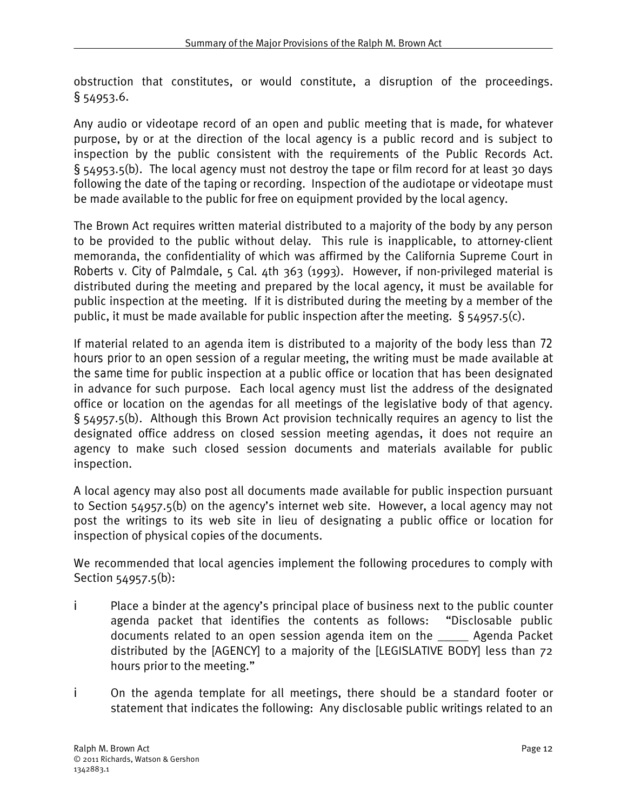obstruction that constitutes, or would constitute, a disruption of the proceedings. § 54953.6.

Any audio or videotape record of an open and public meeting that is made, for whatever purpose, by or at the direction of the local agency is a public record and is subject to inspection by the public consistent with the requirements of the Public Records Act. § 54953.5(b). The local agency must not destroy the tape or film record for at least 30 days following the date of the taping or recording. Inspection of the audiotape or videotape must be made available to the public for free on equipment provided by the local agency.

The Brown Act requires written material distributed to a majority of the body by any person to be provided to the public without delay. This rule is inapplicable, to attorney-client memoranda, the confidentiality of which was affirmed by the California Supreme Court in *Roberts v. City of Palmdale*, 5 Cal. 4th 363 (1993). However, if non-privileged material is distributed during the meeting and prepared by the local agency, it must be available for public inspection at the meeting. If it is distributed during the meeting by a member of the public, it must be made available for public inspection after the meeting. § 54957.5(c).

If material related to an agenda item is distributed to a majority of the body *less than 72 hours prior to an open session* of a regular meeting, the writing must be made available *at the same time* for public inspection at a public office or location that has been designated in advance for such purpose. Each local agency must list the address of the designated office or location on the agendas for all meetings of the legislative body of that agency. § 54957.5(b). Although this Brown Act provision technically requires an agency to list the designated office address on closed session meeting agendas, it does not require an agency to make such closed session documents and materials available for public inspection.

A local agency may also post all documents made available for public inspection pursuant to Section 54957.5(b) on the agency's internet web site. However, a local agency may not post the writings to its web site in lieu of designating a public office or location for inspection of physical copies of the documents.

We recommended that local agencies implement the following procedures to comply with Section 54957.5(b):

- i. Place a binder at the agency's principal place of business next to the public counter agenda packet that identifies the contents as follows: "Disclosable public documents related to an open session agenda item on the \_\_\_\_\_ Agenda Packet distributed by the [AGENCY] to a majority of the [LEGISLATIVE BODY] less than 72 hours prior to the meeting."
- i. On the agenda template for all meetings, there should be a standard footer or statement that indicates the following: Any disclosable public writings related to an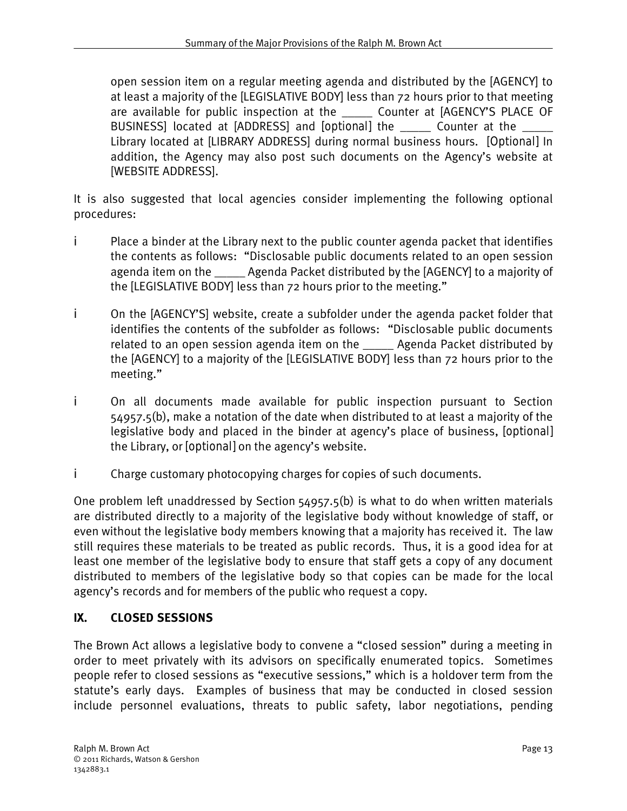open session item on a regular meeting agenda and distributed by the [AGENCY] to at least a majority of the [LEGISLATIVE BODY] less than 72 hours prior to that meeting are available for public inspection at the \_\_\_\_\_ Counter at [AGENCY'S PLACE OF BUSINESS] located at [ADDRESS] and *[optional]* the \_\_\_\_\_ Counter at the \_\_\_\_\_ Library located at [LIBRARY ADDRESS] during normal business hours. *[Optional]* In addition, the Agency may also post such documents on the Agency's website at [WEBSITE ADDRESS].

It is also suggested that local agencies consider implementing the following optional procedures:

- i. Place a binder at the Library next to the public counter agenda packet that identifies the contents as follows: "Disclosable public documents related to an open session agenda item on the **Agenda Packet distributed by the [AGENCY**] to a majority of the [LEGISLATIVE BODY] less than 72 hours prior to the meeting."
- i. On the [AGENCY'S] website, create a subfolder under the agenda packet folder that identifies the contents of the subfolder as follows: "Disclosable public documents related to an open session agenda item on the **Agenda Packet distributed by** the [AGENCY] to a majority of the [LEGISLATIVE BODY] less than 72 hours prior to the meeting."
- i. On all documents made available for public inspection pursuant to Section 54957.5(b), make a notation of the date when distributed to at least a majority of the legislative body and placed in the binder at agency's place of business, *[optional]* the Library, or *[optional]* on the agency's website.
- i. Charge customary photocopying charges for copies of such documents.

One problem left unaddressed by Section 54957.5(b) is what to do when written materials are distributed directly to a majority of the legislative body without knowledge of staff, or even without the legislative body members knowing that a majority has received it. The law still requires these materials to be treated as public records. Thus, it is a good idea for at least one member of the legislative body to ensure that staff gets a copy of any document distributed to members of the legislative body so that copies can be made for the local agency's records and for members of the public who request a copy.

## **IX. CLOSED SESSIONS**

The Brown Act allows a legislative body to convene a "closed session" during a meeting in order to meet privately with its advisors on specifically enumerated topics. Sometimes people refer to closed sessions as "executive sessions," which is a holdover term from the statute's early days. Examples of business that may be conducted in closed session include personnel evaluations, threats to public safety, labor negotiations, pending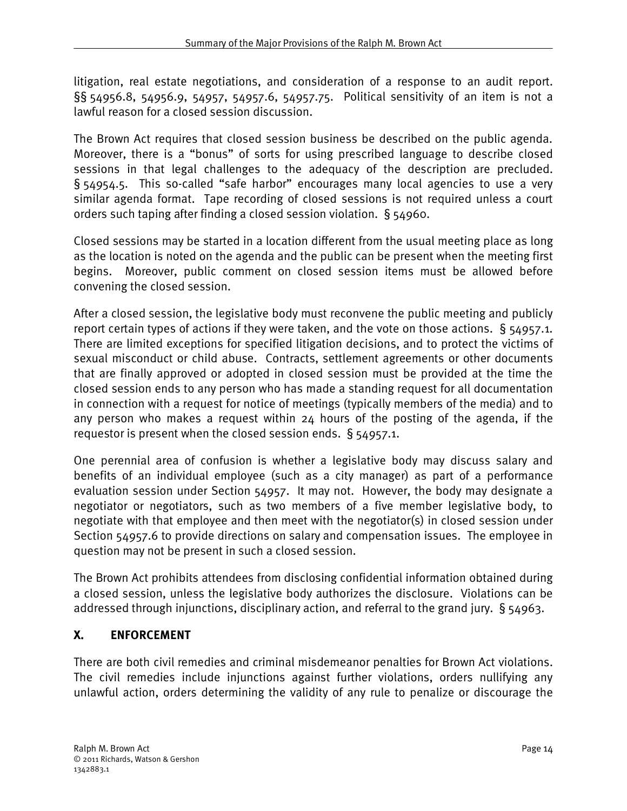litigation, real estate negotiations, and consideration of a response to an audit report. §§ 54956.8, 54956.9, 54957, 54957.6, 54957.75. Political sensitivity of an item is not a lawful reason for a closed session discussion.

The Brown Act requires that closed session business be described on the public agenda. Moreover, there is a "bonus" of sorts for using prescribed language to describe closed sessions in that legal challenges to the adequacy of the description are precluded. § 54954.5. This so-called "safe harbor" encourages many local agencies to use a very similar agenda format. Tape recording of closed sessions is not required unless a court orders such taping after finding a closed session violation. § 54960.

Closed sessions may be started in a location different from the usual meeting place as long as the location is noted on the agenda and the public can be present when the meeting first begins. Moreover, public comment on closed session items must be allowed before convening the closed session.

After a closed session, the legislative body must reconvene the public meeting and publicly report certain types of actions if they were taken, and the vote on those actions. § 54957.1. There are limited exceptions for specified litigation decisions, and to protect the victims of sexual misconduct or child abuse. Contracts, settlement agreements or other documents that are finally approved or adopted in closed session must be provided at the time the closed session ends to any person who has made a standing request for all documentation in connection with a request for notice of meetings (typically members of the media) and to any person who makes a request within 24 hours of the posting of the agenda, if the requestor is present when the closed session ends. § 54957.1.

One perennial area of confusion is whether a legislative body may discuss salary and benefits of an individual employee (such as a city manager) as part of a performance evaluation session under Section 54957. It may not. However, the body may designate a negotiator or negotiators, such as two members of a five member legislative body, to negotiate with that employee and then meet with the negotiator(s) in closed session under Section 54957.6 to provide directions on salary and compensation issues. The employee in question may not be present in such a closed session.

The Brown Act prohibits attendees from disclosing confidential information obtained during a closed session, unless the legislative body authorizes the disclosure. Violations can be addressed through injunctions, disciplinary action, and referral to the grand jury. § 54963.

## **X. ENFORCEMENT**

There are both civil remedies and criminal misdemeanor penalties for Brown Act violations. The civil remedies include injunctions against further violations, orders nullifying any unlawful action, orders determining the validity of any rule to penalize or discourage the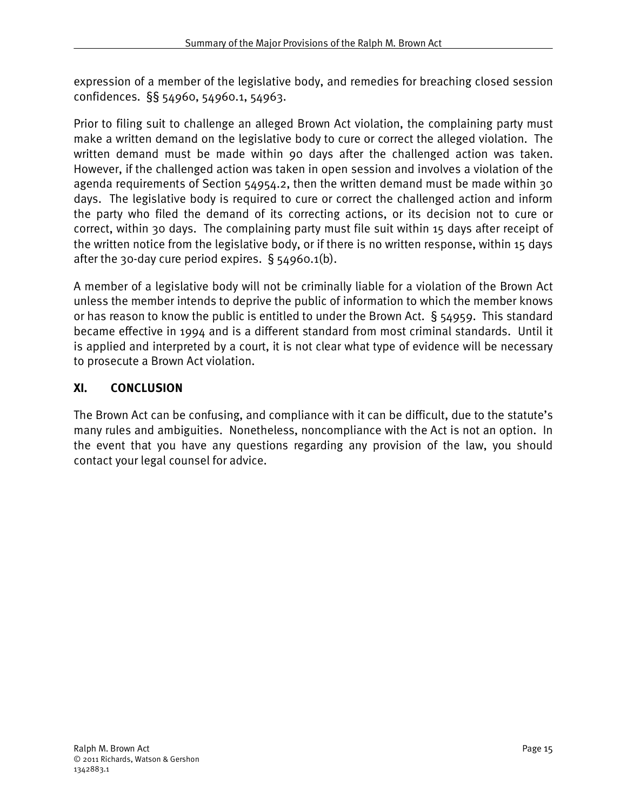expression of a member of the legislative body, and remedies for breaching closed session confidences. §§ 54960, 54960.1, 54963.

Prior to filing suit to challenge an alleged Brown Act violation, the complaining party must make a written demand on the legislative body to cure or correct the alleged violation. The written demand must be made within 90 days after the challenged action was taken. However, if the challenged action was taken in open session and involves a violation of the agenda requirements of Section 54954.2, then the written demand must be made within 30 days. The legislative body is required to cure or correct the challenged action and inform the party who filed the demand of its correcting actions, or its decision not to cure or correct, within 30 days. The complaining party must file suit within 15 days after receipt of the written notice from the legislative body, or if there is no written response, within 15 days after the 30-day cure period expires.  $\S$  54960.1(b).

A member of a legislative body will not be criminally liable for a violation of the Brown Act unless the member intends to deprive the public of information to which the member knows or has reason to know the public is entitled to under the Brown Act.  $\S$  54959. This standard became effective in 1994 and is a different standard from most criminal standards. Until it is applied and interpreted by a court, it is not clear what type of evidence will be necessary to prosecute a Brown Act violation.

#### **XI. CONCLUSION**

The Brown Act can be confusing, and compliance with it can be difficult, due to the statute's many rules and ambiguities. Nonetheless, noncompliance with the Act is not an option. In the event that you have any questions regarding any provision of the law, you should contact your legal counsel for advice.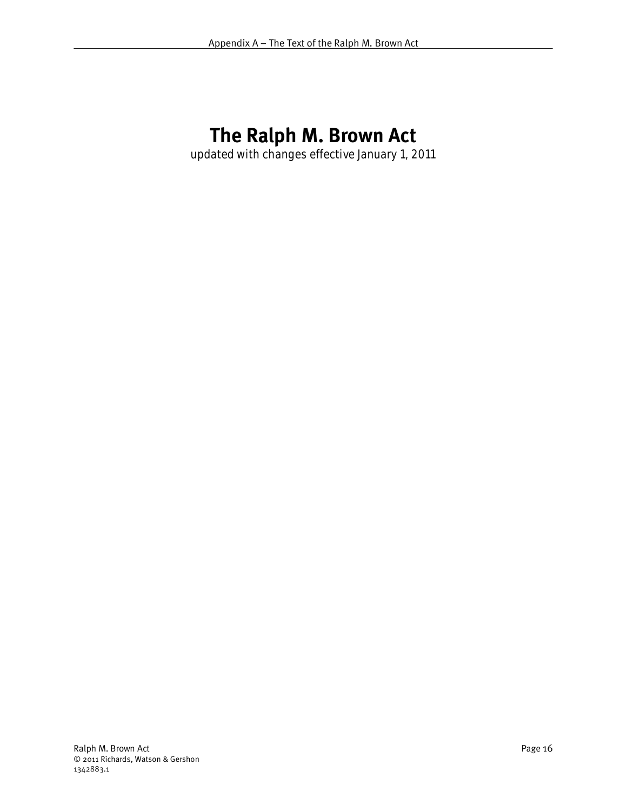# **The Ralph M. Brown Act**

*updated with changes effective January 1, 2011*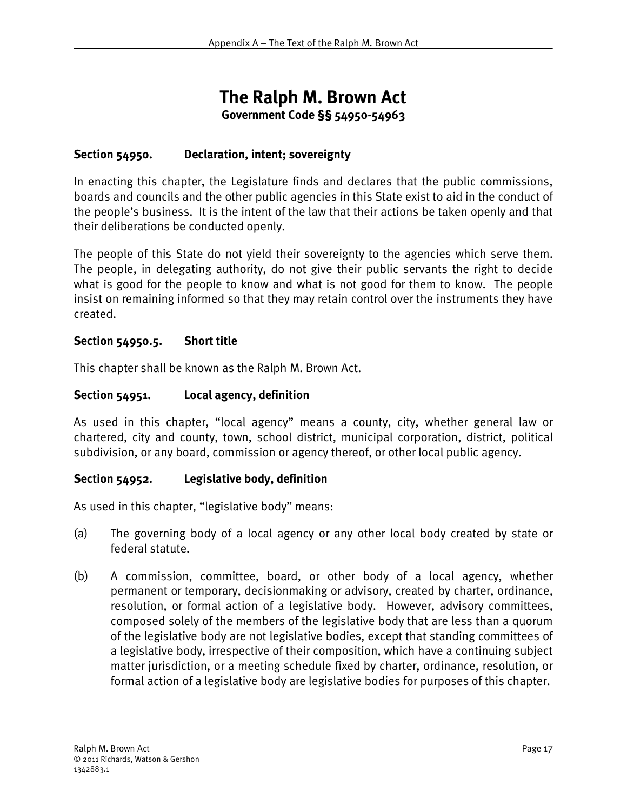## **The Ralph M. Brown Act Government Code §§ 54950-54963**

#### **Section 54950. Declaration, intent; sovereignty**

In enacting this chapter, the Legislature finds and declares that the public commissions, boards and councils and the other public agencies in this State exist to aid in the conduct of the people's business. It is the intent of the law that their actions be taken openly and that their deliberations be conducted openly.

The people of this State do not yield their sovereignty to the agencies which serve them. The people, in delegating authority, do not give their public servants the right to decide what is good for the people to know and what is not good for them to know. The people insist on remaining informed so that they may retain control over the instruments they have created.

#### **Section 54950.5. Short title**

This chapter shall be known as the Ralph M. Brown Act.

#### **Section 54951. Local agency, definition**

As used in this chapter, "local agency" means a county, city, whether general law or chartered, city and county, town, school district, municipal corporation, district, political subdivision, or any board, commission or agency thereof, or other local public agency.

#### **Section 54952. Legislative body, definition**

As used in this chapter, "legislative body" means:

- (a) The governing body of a local agency or any other local body created by state or federal statute.
- (b) A commission, committee, board, or other body of a local agency, whether permanent or temporary, decisionmaking or advisory, created by charter, ordinance, resolution, or formal action of a legislative body. However, advisory committees, composed solely of the members of the legislative body that are less than a quorum of the legislative body are not legislative bodies, except that standing committees of a legislative body, irrespective of their composition, which have a continuing subject matter jurisdiction, or a meeting schedule fixed by charter, ordinance, resolution, or formal action of a legislative body are legislative bodies for purposes of this chapter.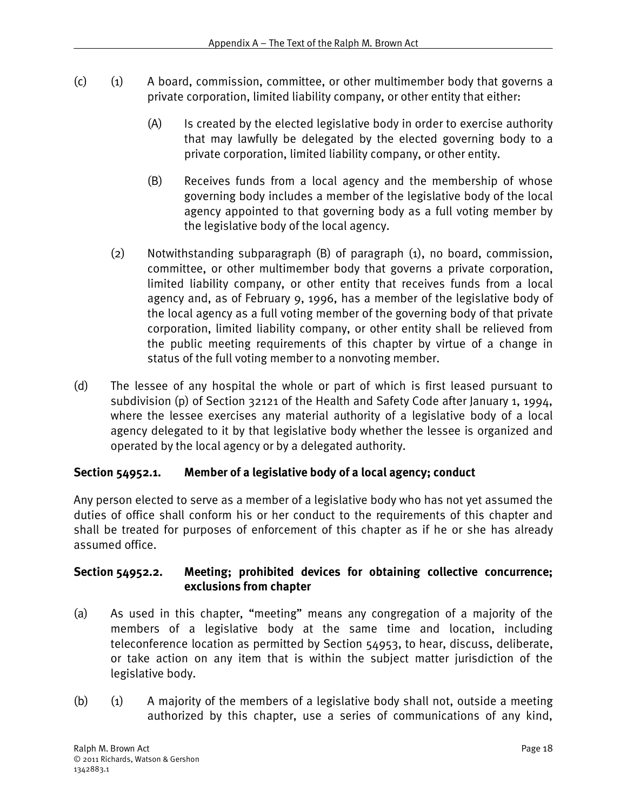- (c) (1) A board, commission, committee, or other multimember body that governs a private corporation, limited liability company, or other entity that either:
	- (A) Is created by the elected legislative body in order to exercise authority that may lawfully be delegated by the elected governing body to a private corporation, limited liability company, or other entity.
	- (B) Receives funds from a local agency and the membership of whose governing body includes a member of the legislative body of the local agency appointed to that governing body as a full voting member by the legislative body of the local agency.
	- (2) Notwithstanding subparagraph (B) of paragraph (1), no board, commission, committee, or other multimember body that governs a private corporation, limited liability company, or other entity that receives funds from a local agency and, as of February 9, 1996, has a member of the legislative body of the local agency as a full voting member of the governing body of that private corporation, limited liability company, or other entity shall be relieved from the public meeting requirements of this chapter by virtue of a change in status of the full voting member to a nonvoting member.
- (d) The lessee of any hospital the whole or part of which is first leased pursuant to subdivision (p) of Section 32121 of the Health and Safety Code after January 1, 1994, where the lessee exercises any material authority of a legislative body of a local agency delegated to it by that legislative body whether the lessee is organized and operated by the local agency or by a delegated authority.

## **Section 54952.1. Member of a legislative body of a local agency; conduct**

Any person elected to serve as a member of a legislative body who has not yet assumed the duties of office shall conform his or her conduct to the requirements of this chapter and shall be treated for purposes of enforcement of this chapter as if he or she has already assumed office.

#### **Section 54952.2. Meeting; prohibited devices for obtaining collective concurrence; exclusions from chapter**

- (a) As used in this chapter, "meeting" means any congregation of a majority of the members of a legislative body at the same time and location, including teleconference location as permitted by Section 54953, to hear, discuss, deliberate, or take action on any item that is within the subject matter jurisdiction of the legislative body.
- (b) (1) A majority of the members of a legislative body shall not, outside a meeting authorized by this chapter, use a series of communications of any kind,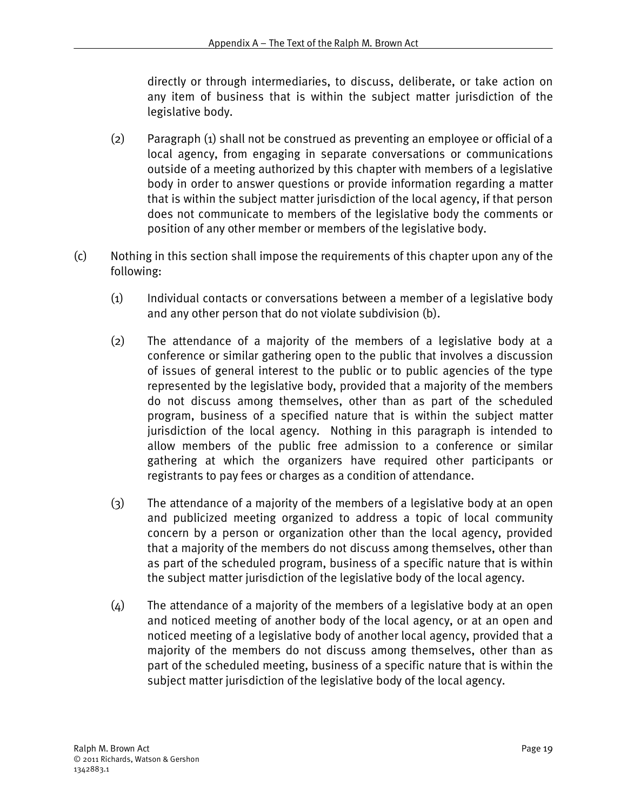directly or through intermediaries, to discuss, deliberate, or take action on any item of business that is within the subject matter jurisdiction of the legislative body.

- (2) Paragraph (1) shall not be construed as preventing an employee or official of a local agency, from engaging in separate conversations or communications outside of a meeting authorized by this chapter with members of a legislative body in order to answer questions or provide information regarding a matter that is within the subject matter jurisdiction of the local agency, if that person does not communicate to members of the legislative body the comments or position of any other member or members of the legislative body.
- (c) Nothing in this section shall impose the requirements of this chapter upon any of the following:
	- (1) Individual contacts or conversations between a member of a legislative body and any other person that do not violate subdivision (b).
	- (2) The attendance of a majority of the members of a legislative body at a conference or similar gathering open to the public that involves a discussion of issues of general interest to the public or to public agencies of the type represented by the legislative body, provided that a majority of the members do not discuss among themselves, other than as part of the scheduled program, business of a specified nature that is within the subject matter jurisdiction of the local agency. Nothing in this paragraph is intended to allow members of the public free admission to a conference or similar gathering at which the organizers have required other participants or registrants to pay fees or charges as a condition of attendance.
	- (3) The attendance of a majority of the members of a legislative body at an open and publicized meeting organized to address a topic of local community concern by a person or organization other than the local agency, provided that a majority of the members do not discuss among themselves, other than as part of the scheduled program, business of a specific nature that is within the subject matter jurisdiction of the legislative body of the local agency.
	- $(4)$  The attendance of a majority of the members of a legislative body at an open and noticed meeting of another body of the local agency, or at an open and noticed meeting of a legislative body of another local agency, provided that a majority of the members do not discuss among themselves, other than as part of the scheduled meeting, business of a specific nature that is within the subject matter jurisdiction of the legislative body of the local agency.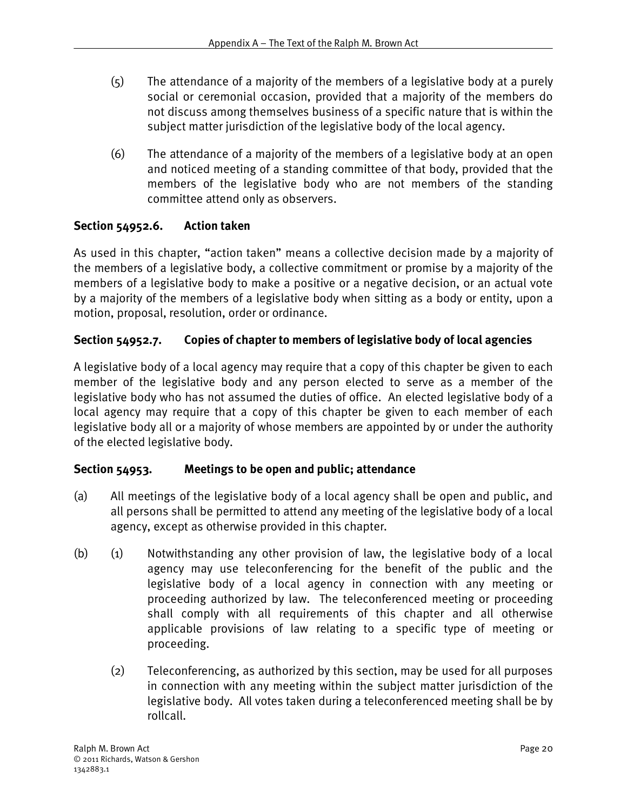- (5) The attendance of a majority of the members of a legislative body at a purely social or ceremonial occasion, provided that a majority of the members do not discuss among themselves business of a specific nature that is within the subject matter jurisdiction of the legislative body of the local agency.
- (6) The attendance of a majority of the members of a legislative body at an open and noticed meeting of a standing committee of that body, provided that the members of the legislative body who are not members of the standing committee attend only as observers.

#### **Section 54952.6. Action taken**

As used in this chapter, "action taken" means a collective decision made by a majority of the members of a legislative body, a collective commitment or promise by a majority of the members of a legislative body to make a positive or a negative decision, or an actual vote by a majority of the members of a legislative body when sitting as a body or entity, upon a motion, proposal, resolution, order or ordinance.

#### **Section 54952.7. Copies of chapter to members of legislative body of local agencies**

A legislative body of a local agency may require that a copy of this chapter be given to each member of the legislative body and any person elected to serve as a member of the legislative body who has not assumed the duties of office. An elected legislative body of a local agency may require that a copy of this chapter be given to each member of each legislative body all or a majority of whose members are appointed by or under the authority of the elected legislative body.

#### **Section 54953. Meetings to be open and public; attendance**

- (a) All meetings of the legislative body of a local agency shall be open and public, and all persons shall be permitted to attend any meeting of the legislative body of a local agency, except as otherwise provided in this chapter.
- (b) (1) Notwithstanding any other provision of law, the legislative body of a local agency may use teleconferencing for the benefit of the public and the legislative body of a local agency in connection with any meeting or proceeding authorized by law. The teleconferenced meeting or proceeding shall comply with all requirements of this chapter and all otherwise applicable provisions of law relating to a specific type of meeting or proceeding.
	- (2) Teleconferencing, as authorized by this section, may be used for all purposes in connection with any meeting within the subject matter jurisdiction of the legislative body. All votes taken during a teleconferenced meeting shall be by rollcall.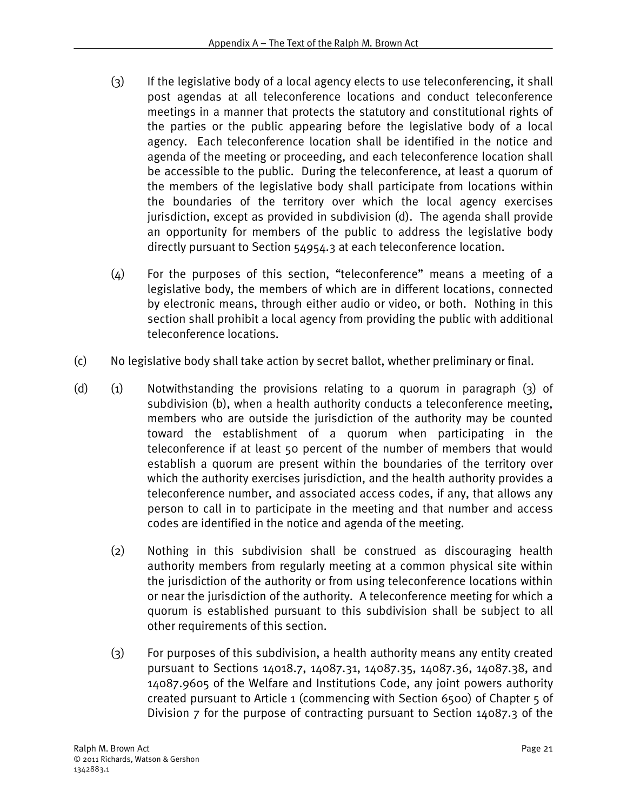- (3) If the legislative body of a local agency elects to use teleconferencing, it shall post agendas at all teleconference locations and conduct teleconference meetings in a manner that protects the statutory and constitutional rights of the parties or the public appearing before the legislative body of a local agency. Each teleconference location shall be identified in the notice and agenda of the meeting or proceeding, and each teleconference location shall be accessible to the public. During the teleconference, at least a quorum of the members of the legislative body shall participate from locations within the boundaries of the territory over which the local agency exercises jurisdiction, except as provided in subdivision (d). The agenda shall provide an opportunity for members of the public to address the legislative body directly pursuant to Section 54954.3 at each teleconference location.
- (4) For the purposes of this section, "teleconference" means a meeting of a legislative body, the members of which are in different locations, connected by electronic means, through either audio or video, or both. Nothing in this section shall prohibit a local agency from providing the public with additional teleconference locations.
- (c) No legislative body shall take action by secret ballot, whether preliminary or final.
- (d) (1) Notwithstanding the provisions relating to a quorum in paragraph (3) of subdivision (b), when a health authority conducts a teleconference meeting, members who are outside the jurisdiction of the authority may be counted toward the establishment of a quorum when participating in the teleconference if at least 50 percent of the number of members that would establish a quorum are present within the boundaries of the territory over which the authority exercises jurisdiction, and the health authority provides a teleconference number, and associated access codes, if any, that allows any person to call in to participate in the meeting and that number and access codes are identified in the notice and agenda of the meeting.
	- (2) Nothing in this subdivision shall be construed as discouraging health authority members from regularly meeting at a common physical site within the jurisdiction of the authority or from using teleconference locations within or near the jurisdiction of the authority. A teleconference meeting for which a quorum is established pursuant to this subdivision shall be subject to all other requirements of this section.
	- (3) For purposes of this subdivision, a health authority means any entity created pursuant to Sections 14018.7, 14087.31, 14087.35, 14087.36, 14087.38, and 14087.9605 of the Welfare and Institutions Code, any joint powers authority created pursuant to Article 1 (commencing with Section 6500) of Chapter 5 of Division 7 for the purpose of contracting pursuant to Section 14087.3 of the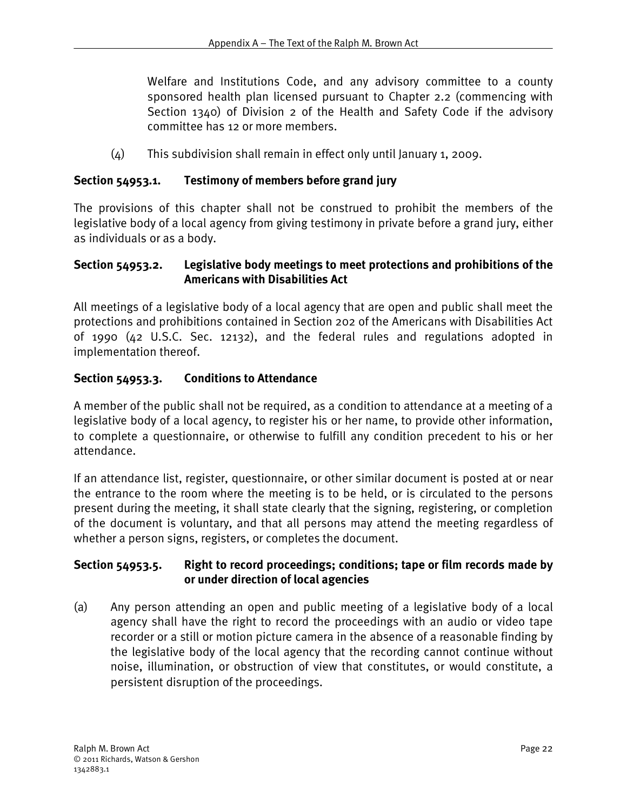Welfare and Institutions Code, and any advisory committee to a county sponsored health plan licensed pursuant to Chapter 2.2 (commencing with Section 1340) of Division 2 of the Health and Safety Code if the advisory committee has 12 or more members.

(4) This subdivision shall remain in effect only until January 1, 2009.

#### **Section 54953.1. Testimony of members before grand jury**

The provisions of this chapter shall not be construed to prohibit the members of the legislative body of a local agency from giving testimony in private before a grand jury, either as individuals or as a body.

#### **Section 54953.2. Legislative body meetings to meet protections and prohibitions of the Americans with Disabilities Act**

All meetings of a legislative body of a local agency that are open and public shall meet the protections and prohibitions contained in Section 202 of the Americans with Disabilities Act of 1990 (42 U.S.C. Sec. 12132), and the federal rules and regulations adopted in implementation thereof.

#### **Section 54953.3. Conditions to Attendance**

A member of the public shall not be required, as a condition to attendance at a meeting of a legislative body of a local agency, to register his or her name, to provide other information, to complete a questionnaire, or otherwise to fulfill any condition precedent to his or her attendance.

If an attendance list, register, questionnaire, or other similar document is posted at or near the entrance to the room where the meeting is to be held, or is circulated to the persons present during the meeting, it shall state clearly that the signing, registering, or completion of the document is voluntary, and that all persons may attend the meeting regardless of whether a person signs, registers, or completes the document.

#### **Section 54953.5. Right to record proceedings; conditions; tape or film records made by or under direction of local agencies**

(a) Any person attending an open and public meeting of a legislative body of a local agency shall have the right to record the proceedings with an audio or video tape recorder or a still or motion picture camera in the absence of a reasonable finding by the legislative body of the local agency that the recording cannot continue without noise, illumination, or obstruction of view that constitutes, or would constitute, a persistent disruption of the proceedings.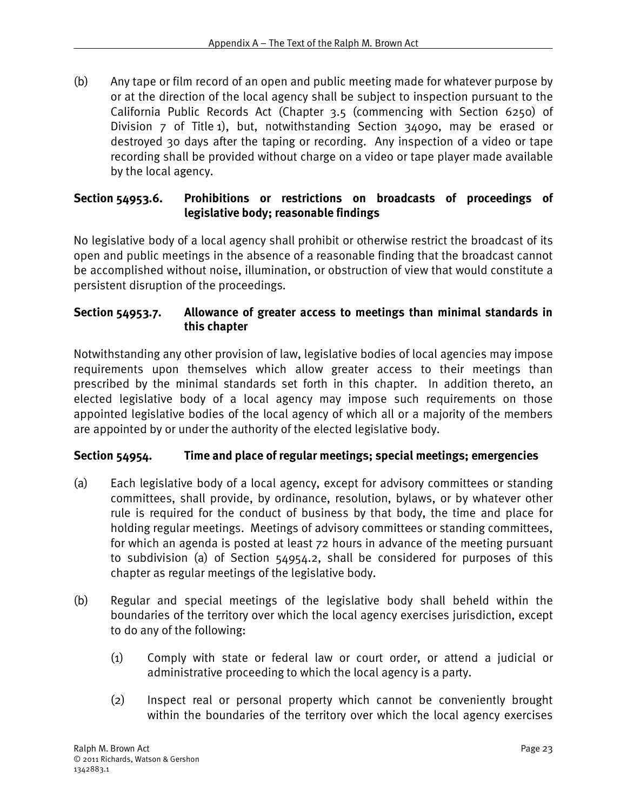(b) Any tape or film record of an open and public meeting made for whatever purpose by or at the direction of the local agency shall be subject to inspection pursuant to the California Public Records Act (Chapter 3.5 (commencing with Section 6250) of Division 7 of Title 1), but, notwithstanding Section 34090, may be erased or destroyed 30 days after the taping or recording. Any inspection of a video or tape recording shall be provided without charge on a video or tape player made available by the local agency.

#### **Section 54953.6. Prohibitions or restrictions on broadcasts of proceedings of legislative body; reasonable findings**

No legislative body of a local agency shall prohibit or otherwise restrict the broadcast of its open and public meetings in the absence of a reasonable finding that the broadcast cannot be accomplished without noise, illumination, or obstruction of view that would constitute a persistent disruption of the proceedings.

#### **Section 54953.7. Allowance of greater access to meetings than minimal standards in this chapter**

Notwithstanding any other provision of law, legislative bodies of local agencies may impose requirements upon themselves which allow greater access to their meetings than prescribed by the minimal standards set forth in this chapter. In addition thereto, an elected legislative body of a local agency may impose such requirements on those appointed legislative bodies of the local agency of which all or a majority of the members are appointed by or under the authority of the elected legislative body.

## **Section 54954. Time and place of regular meetings; special meetings; emergencies**

- (a) Each legislative body of a local agency, except for advisory committees or standing committees, shall provide, by ordinance, resolution, bylaws, or by whatever other rule is required for the conduct of business by that body, the time and place for holding regular meetings. Meetings of advisory committees or standing committees, for which an agenda is posted at least 72 hours in advance of the meeting pursuant to subdivision (a) of Section 54954.2, shall be considered for purposes of this chapter as regular meetings of the legislative body.
- (b) Regular and special meetings of the legislative body shall beheld within the boundaries of the territory over which the local agency exercises jurisdiction, except to do any of the following:
	- (1) Comply with state or federal law or court order, or attend a judicial or administrative proceeding to which the local agency is a party.
	- (2) Inspect real or personal property which cannot be conveniently brought within the boundaries of the territory over which the local agency exercises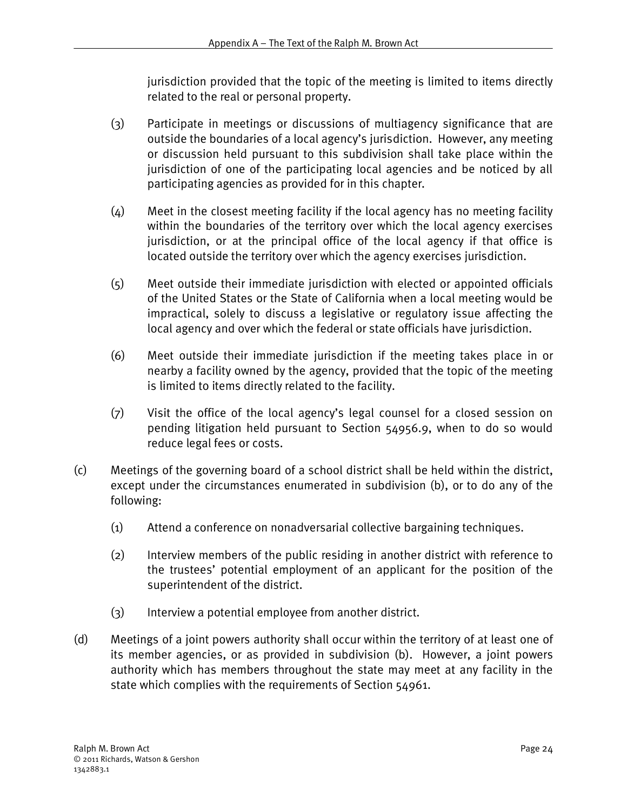jurisdiction provided that the topic of the meeting is limited to items directly related to the real or personal property.

- (3) Participate in meetings or discussions of multiagency significance that are outside the boundaries of a local agency's jurisdiction. However, any meeting or discussion held pursuant to this subdivision shall take place within the jurisdiction of one of the participating local agencies and be noticed by all participating agencies as provided for in this chapter.
- (4) Meet in the closest meeting facility if the local agency has no meeting facility within the boundaries of the territory over which the local agency exercises jurisdiction, or at the principal office of the local agency if that office is located outside the territory over which the agency exercises jurisdiction.
- (5) Meet outside their immediate jurisdiction with elected or appointed officials of the United States or the State of California when a local meeting would be impractical, solely to discuss a legislative or regulatory issue affecting the local agency and over which the federal or state officials have jurisdiction.
- (6) Meet outside their immediate jurisdiction if the meeting takes place in or nearby a facility owned by the agency, provided that the topic of the meeting is limited to items directly related to the facility.
- (7) Visit the office of the local agency's legal counsel for a closed session on pending litigation held pursuant to Section 54956.9, when to do so would reduce legal fees or costs.
- (c) Meetings of the governing board of a school district shall be held within the district, except under the circumstances enumerated in subdivision (b), or to do any of the following:
	- (1) Attend a conference on nonadversarial collective bargaining techniques.
	- (2) Interview members of the public residing in another district with reference to the trustees' potential employment of an applicant for the position of the superintendent of the district.
	- (3) Interview a potential employee from another district.
- (d) Meetings of a joint powers authority shall occur within the territory of at least one of its member agencies, or as provided in subdivision (b). However, a joint powers authority which has members throughout the state may meet at any facility in the state which complies with the requirements of Section 54961.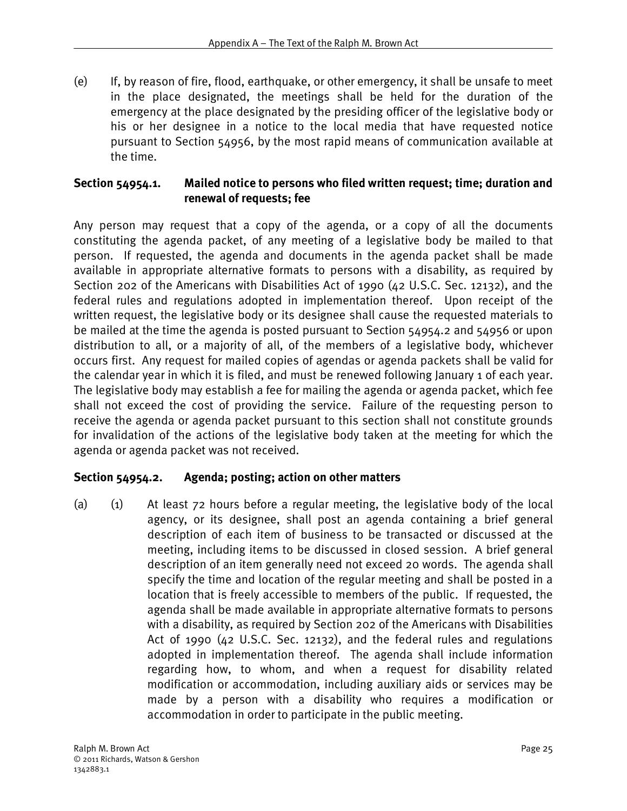(e) If, by reason of fire, flood, earthquake, or other emergency, it shall be unsafe to meet in the place designated, the meetings shall be held for the duration of the emergency at the place designated by the presiding officer of the legislative body or his or her designee in a notice to the local media that have requested notice pursuant to Section 54956, by the most rapid means of communication available at the time.

#### **Section 54954.1. Mailed notice to persons who filed written request; time; duration and renewal of requests; fee**

Any person may request that a copy of the agenda, or a copy of all the documents constituting the agenda packet, of any meeting of a legislative body be mailed to that person. If requested, the agenda and documents in the agenda packet shall be made available in appropriate alternative formats to persons with a disability, as required by Section 202 of the Americans with Disabilities Act of 1990 (42 U.S.C. Sec. 12132), and the federal rules and regulations adopted in implementation thereof. Upon receipt of the written request, the legislative body or its designee shall cause the requested materials to be mailed at the time the agenda is posted pursuant to Section 54954.2 and 54956 or upon distribution to all, or a majority of all, of the members of a legislative body, whichever occurs first. Any request for mailed copies of agendas or agenda packets shall be valid for the calendar year in which it is filed, and must be renewed following January 1 of each year. The legislative body may establish a fee for mailing the agenda or agenda packet, which fee shall not exceed the cost of providing the service. Failure of the requesting person to receive the agenda or agenda packet pursuant to this section shall not constitute grounds for invalidation of the actions of the legislative body taken at the meeting for which the agenda or agenda packet was not received.

## **Section 54954.2. Agenda; posting; action on other matters**

(a) (1) At least 72 hours before a regular meeting, the legislative body of the local agency, or its designee, shall post an agenda containing a brief general description of each item of business to be transacted or discussed at the meeting, including items to be discussed in closed session. A brief general description of an item generally need not exceed 20 words. The agenda shall specify the time and location of the regular meeting and shall be posted in a location that is freely accessible to members of the public. If requested, the agenda shall be made available in appropriate alternative formats to persons with a disability, as required by Section 202 of the Americans with Disabilities Act of 1990 (42 U.S.C. Sec. 12132), and the federal rules and regulations adopted in implementation thereof. The agenda shall include information regarding how, to whom, and when a request for disability related modification or accommodation, including auxiliary aids or services may be made by a person with a disability who requires a modification or accommodation in order to participate in the public meeting.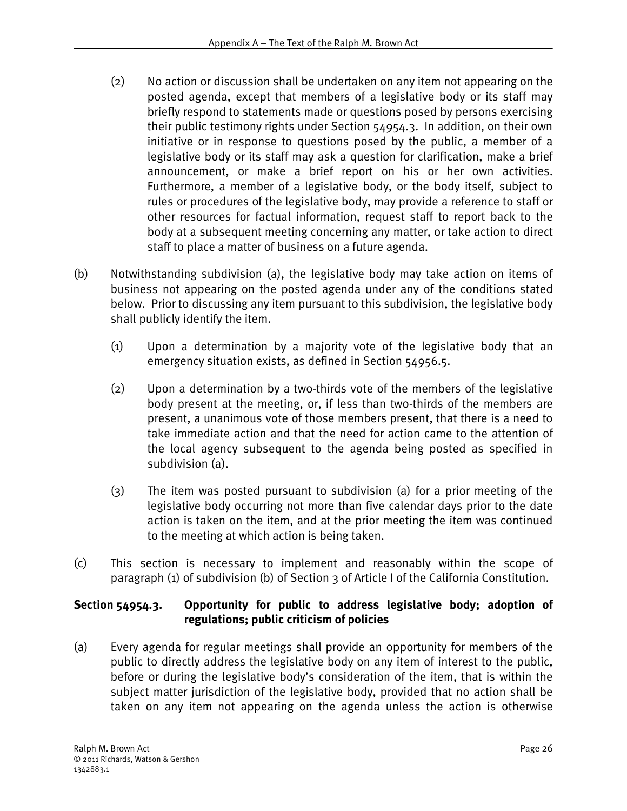- (2) No action or discussion shall be undertaken on any item not appearing on the posted agenda, except that members of a legislative body or its staff may briefly respond to statements made or questions posed by persons exercising their public testimony rights under Section 54954.3. In addition, on their own initiative or in response to questions posed by the public, a member of a legislative body or its staff may ask a question for clarification, make a brief announcement, or make a brief report on his or her own activities. Furthermore, a member of a legislative body, or the body itself, subject to rules or procedures of the legislative body, may provide a reference to staff or other resources for factual information, request staff to report back to the body at a subsequent meeting concerning any matter, or take action to direct staff to place a matter of business on a future agenda.
- (b) Notwithstanding subdivision (a), the legislative body may take action on items of business not appearing on the posted agenda under any of the conditions stated below. Prior to discussing any item pursuant to this subdivision, the legislative body shall publicly identify the item.
	- (1) Upon a determination by a majority vote of the legislative body that an emergency situation exists, as defined in Section 54956.5.
	- (2) Upon a determination by a two-thirds vote of the members of the legislative body present at the meeting, or, if less than two-thirds of the members are present, a unanimous vote of those members present, that there is a need to take immediate action and that the need for action came to the attention of the local agency subsequent to the agenda being posted as specified in subdivision (a).
	- (3) The item was posted pursuant to subdivision (a) for a prior meeting of the legislative body occurring not more than five calendar days prior to the date action is taken on the item, and at the prior meeting the item was continued to the meeting at which action is being taken.
- (c) This section is necessary to implement and reasonably within the scope of paragraph (1) of subdivision (b) of Section 3 of Article I of the California Constitution.

#### **Section 54954.3. Opportunity for public to address legislative body; adoption of regulations; public criticism of policies**

(a) Every agenda for regular meetings shall provide an opportunity for members of the public to directly address the legislative body on any item of interest to the public, before or during the legislative body's consideration of the item, that is within the subject matter jurisdiction of the legislative body, provided that no action shall be taken on any item not appearing on the agenda unless the action is otherwise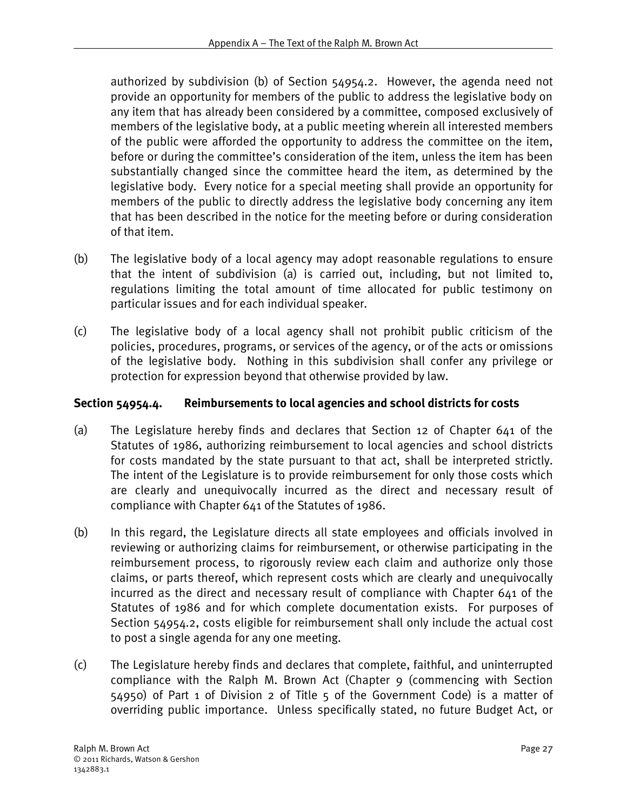authorized by subdivision (b) of Section 54954.2. However, the agenda need not provide an opportunity for members of the public to address the legislative body on any item that has already been considered by a committee, composed exclusively of members of the legislative body, at a public meeting wherein all interested members of the public were afforded the opportunity to address the committee on the item, before or during the committee's consideration of the item, unless the item has been substantially changed since the committee heard the item, as determined by the legislative body. Every notice for a special meeting shall provide an opportunity for members of the public to directly address the legislative body concerning any item that has been described in the notice for the meeting before or during consideration of that item.

- (b) The legislative body of a local agency may adopt reasonable regulations to ensure that the intent of subdivision (a) is carried out, including, but not limited to, regulations limiting the total amount of time allocated for public testimony on particular issues and for each individual speaker.
- (c) The legislative body of a local agency shall not prohibit public criticism of the policies, procedures, programs, or services of the agency, or of the acts or omissions of the legislative body. Nothing in this subdivision shall confer any privilege or protection for expression beyond that otherwise provided by law.

## **Section 54954.4. Reimbursements to local agencies and school districts for costs**

- (a) The Legislature hereby finds and declares that Section 12 of Chapter 641 of the Statutes of 1986, authorizing reimbursement to local agencies and school districts for costs mandated by the state pursuant to that act, shall be interpreted strictly. The intent of the Legislature is to provide reimbursement for only those costs which are clearly and unequivocally incurred as the direct and necessary result of compliance with Chapter 641 of the Statutes of 1986.
- (b) In this regard, the Legislature directs all state employees and officials involved in reviewing or authorizing claims for reimbursement, or otherwise participating in the reimbursement process, to rigorously review each claim and authorize only those claims, or parts thereof, which represent costs which are clearly and unequivocally incurred as the direct and necessary result of compliance with Chapter 641 of the Statutes of 1986 and for which complete documentation exists. For purposes of Section 54954.2, costs eligible for reimbursement shall only include the actual cost to post a single agenda for any one meeting.
- (c) The Legislature hereby finds and declares that complete, faithful, and uninterrupted compliance with the Ralph M. Brown Act (Chapter 9 (commencing with Section 54950) of Part 1 of Division 2 of Title 5 of the Government Code) is a matter of overriding public importance. Unless specifically stated, no future Budget Act, or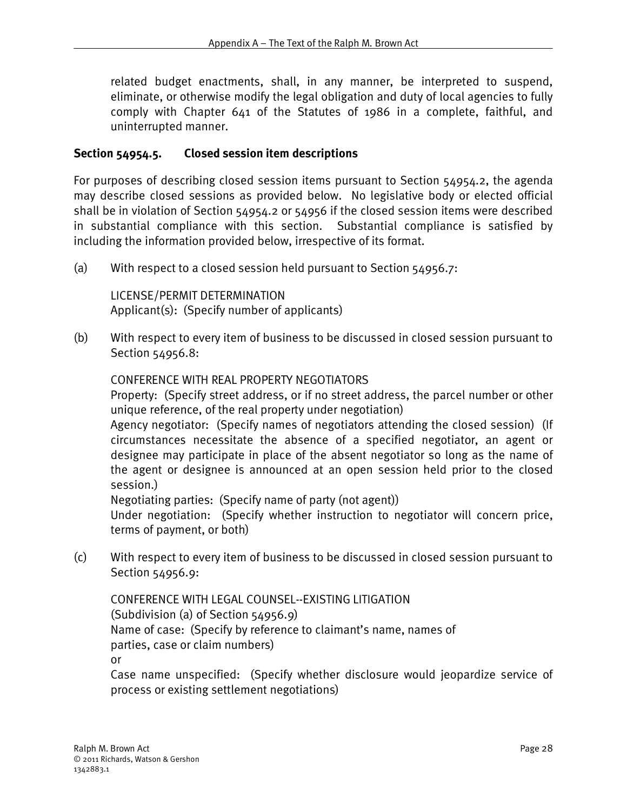related budget enactments, shall, in any manner, be interpreted to suspend, eliminate, or otherwise modify the legal obligation and duty of local agencies to fully comply with Chapter 641 of the Statutes of 1986 in a complete, faithful, and uninterrupted manner.

#### **Section 54954.5. Closed session item descriptions**

For purposes of describing closed session items pursuant to Section 54954.2, the agenda may describe closed sessions as provided below. No legislative body or elected official shall be in violation of Section 54954.2 or 54956 if the closed session items were described in substantial compliance with this section. Substantial compliance is satisfied by including the information provided below, irrespective of its format.

(a) With respect to a closed session held pursuant to Section 54956.7:

LICENSE/PERMIT DETERMINATION Applicant(s): (Specify number of applicants)

(b) With respect to every item of business to be discussed in closed session pursuant to Section 54956.8:

CONFERENCE WITH REAL PROPERTY NEGOTIATORS

Property: (Specify street address, or if no street address, the parcel number or other unique reference, of the real property under negotiation)

Agency negotiator: (Specify names of negotiators attending the closed session) (If circumstances necessitate the absence of a specified negotiator, an agent or designee may participate in place of the absent negotiator so long as the name of the agent or designee is announced at an open session held prior to the closed session.)

Negotiating parties: (Specify name of party (not agent))

Under negotiation: (Specify whether instruction to negotiator will concern price, terms of payment, or both)

(c) With respect to every item of business to be discussed in closed session pursuant to Section 54956.9:

CONFERENCE WITH LEGAL COUNSEL--EXISTING LITIGATION (Subdivision (a) of Section 54956.9) Name of case: (Specify by reference to claimant's name, names of parties, case or claim numbers) or Case name unspecified: (Specify whether disclosure would jeopardize service of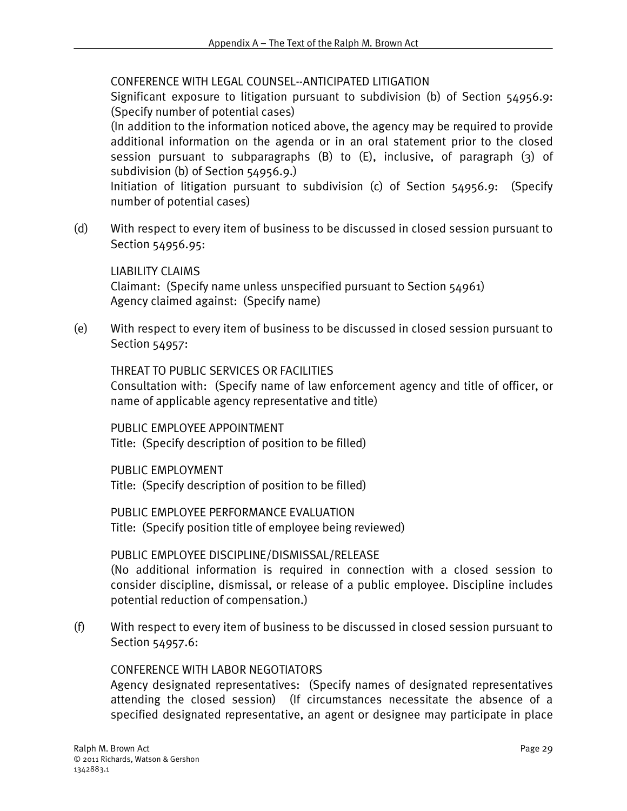CONFERENCE WITH LEGAL COUNSEL--ANTICIPATED LITIGATION

Significant exposure to litigation pursuant to subdivision (b) of Section 54956.9: (Specify number of potential cases)

(In addition to the information noticed above, the agency may be required to provide additional information on the agenda or in an oral statement prior to the closed session pursuant to subparagraphs (B) to (E), inclusive, of paragraph (3) of subdivision (b) of Section 54956.9.)

Initiation of litigation pursuant to subdivision (c) of Section 54956.9: (Specify number of potential cases)

(d) With respect to every item of business to be discussed in closed session pursuant to Section 54956.95:

LIABILITY CLAIMS Claimant: (Specify name unless unspecified pursuant to Section 54961) Agency claimed against: (Specify name)

(e) With respect to every item of business to be discussed in closed session pursuant to Section 54957:

THREAT TO PUBLIC SERVICES OR FACILITIES Consultation with: (Specify name of law enforcement agency and title of officer, or name of applicable agency representative and title)

PUBLIC EMPLOYEE APPOINTMENT Title: (Specify description of position to be filled)

PUBLIC EMPLOYMENT Title: (Specify description of position to be filled)

PUBLIC EMPLOYEE PERFORMANCE EVALUATION Title: (Specify position title of employee being reviewed)

PUBLIC EMPLOYEE DISCIPLINE/DISMISSAL/RELEASE (No additional information is required in connection with a closed session to consider discipline, dismissal, or release of a public employee. Discipline includes potential reduction of compensation.)

(f) With respect to every item of business to be discussed in closed session pursuant to Section 54957.6:

#### CONFERENCE WITH LABOR NEGOTIATORS

Agency designated representatives: (Specify names of designated representatives attending the closed session) (If circumstances necessitate the absence of a specified designated representative, an agent or designee may participate in place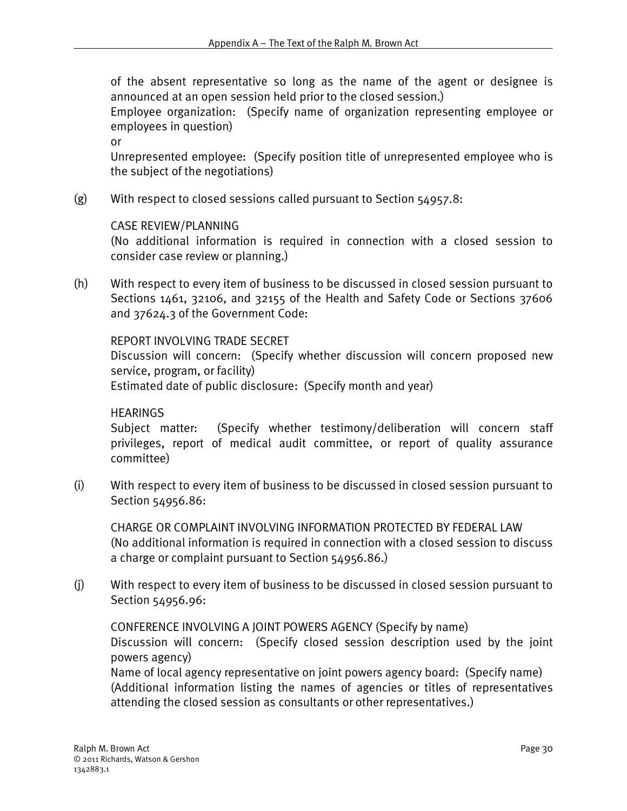of the absent representative so long as the name of the agent or designee is announced at an open session held prior to the closed session.)

Employee organization: (Specify name of organization representing employee or employees in question)

or

Unrepresented employee: (Specify position title of unrepresented employee who is the subject of the negotiations)

 $(g)$  With respect to closed sessions called pursuant to Section  $54957.8$ :

#### CASE REVIEW/PLANNING

(No additional information is required in connection with a closed session to consider case review or planning.)

(h) With respect to every item of business to be discussed in closed session pursuant to Sections 1461, 32106, and 32155 of the Health and Safety Code or Sections 37606 and 37624.3 of the Government Code:

REPORT INVOLVING TRADE SECRET Discussion will concern: (Specify whether discussion will concern proposed new service, program, or facility) Estimated date of public disclosure: (Specify month and year)

#### **HEARINGS**

Subject matter: (Specify whether testimony/deliberation will concern staff privileges, report of medical audit committee, or report of quality assurance committee)

(i) With respect to every item of business to be discussed in closed session pursuant to Section 54956.86:

CHARGE OR COMPLAINT INVOLVING INFORMATION PROTECTED BY FEDERAL LAW (No additional information is required in connection with a closed session to discuss a charge or complaint pursuant to Section 54956.86.)

(j) With respect to every item of business to be discussed in closed session pursuant to Section 54956.96:

CONFERENCE INVOLVING A JOINT POWERS AGENCY (Specify by name)

Discussion will concern: (Specify closed session description used by the joint powers agency)

Name of local agency representative on joint powers agency board: (Specify name) (Additional information listing the names of agencies or titles of representatives attending the closed session as consultants or other representatives.)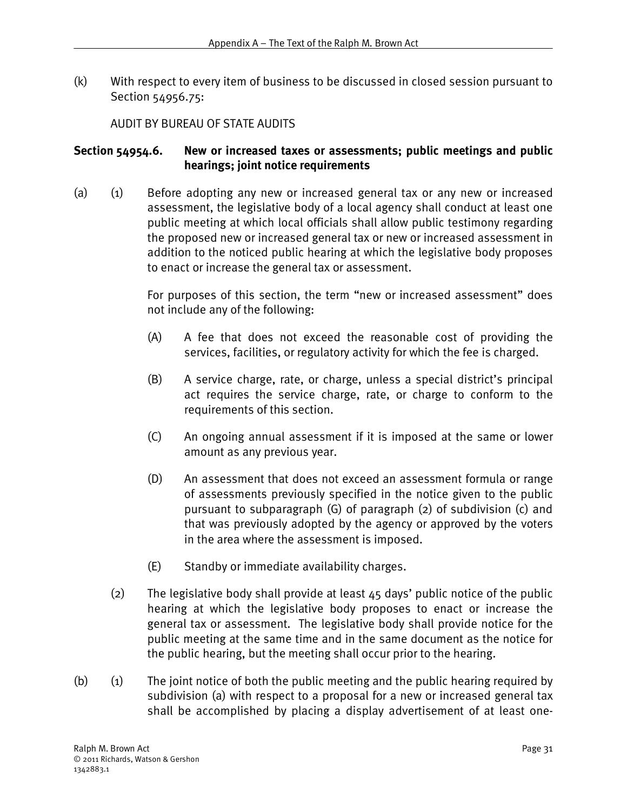(k) With respect to every item of business to be discussed in closed session pursuant to Section 54956.75:

AUDIT BY BUREAU OF STATE AUDITS

#### **Section 54954.6. New or increased taxes or assessments; public meetings and public hearings; joint notice requirements**

(a) (1) Before adopting any new or increased general tax or any new or increased assessment, the legislative body of a local agency shall conduct at least one public meeting at which local officials shall allow public testimony regarding the proposed new or increased general tax or new or increased assessment in addition to the noticed public hearing at which the legislative body proposes to enact or increase the general tax or assessment.

> For purposes of this section, the term "new or increased assessment" does not include any of the following:

- (A) A fee that does not exceed the reasonable cost of providing the services, facilities, or regulatory activity for which the fee is charged.
- (B) A service charge, rate, or charge, unless a special district's principal act requires the service charge, rate, or charge to conform to the requirements of this section.
- (C) An ongoing annual assessment if it is imposed at the same or lower amount as any previous year.
- (D) An assessment that does not exceed an assessment formula or range of assessments previously specified in the notice given to the public pursuant to subparagraph (G) of paragraph (2) of subdivision (c) and that was previously adopted by the agency or approved by the voters in the area where the assessment is imposed.
- (E) Standby or immediate availability charges.
- (2) The legislative body shall provide at least 45 days' public notice of the public hearing at which the legislative body proposes to enact or increase the general tax or assessment. The legislative body shall provide notice for the public meeting at the same time and in the same document as the notice for the public hearing, but the meeting shall occur prior to the hearing.
- (b) (1) The joint notice of both the public meeting and the public hearing required by subdivision (a) with respect to a proposal for a new or increased general tax shall be accomplished by placing a display advertisement of at least one-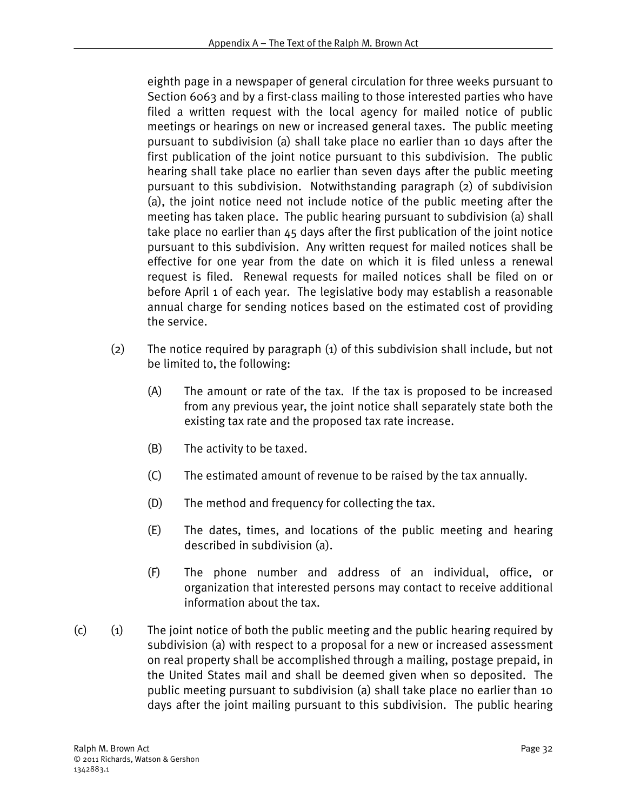eighth page in a newspaper of general circulation for three weeks pursuant to Section 6063 and by a first-class mailing to those interested parties who have filed a written request with the local agency for mailed notice of public meetings or hearings on new or increased general taxes. The public meeting pursuant to subdivision (a) shall take place no earlier than 10 days after the first publication of the joint notice pursuant to this subdivision. The public hearing shall take place no earlier than seven days after the public meeting pursuant to this subdivision. Notwithstanding paragraph (2) of subdivision (a), the joint notice need not include notice of the public meeting after the meeting has taken place. The public hearing pursuant to subdivision (a) shall take place no earlier than 45 days after the first publication of the joint notice pursuant to this subdivision. Any written request for mailed notices shall be effective for one year from the date on which it is filed unless a renewal request is filed. Renewal requests for mailed notices shall be filed on or before April 1 of each year. The legislative body may establish a reasonable annual charge for sending notices based on the estimated cost of providing the service.

- (2) The notice required by paragraph (1) of this subdivision shall include, but not be limited to, the following:
	- (A) The amount or rate of the tax. If the tax is proposed to be increased from any previous year, the joint notice shall separately state both the existing tax rate and the proposed tax rate increase.
	- (B) The activity to be taxed.
	- (C) The estimated amount of revenue to be raised by the tax annually.
	- (D) The method and frequency for collecting the tax.
	- (E) The dates, times, and locations of the public meeting and hearing described in subdivision (a).
	- (F) The phone number and address of an individual, office, or organization that interested persons may contact to receive additional information about the tax.
- (c) (1) The joint notice of both the public meeting and the public hearing required by subdivision (a) with respect to a proposal for a new or increased assessment on real property shall be accomplished through a mailing, postage prepaid, in the United States mail and shall be deemed given when so deposited. The public meeting pursuant to subdivision (a) shall take place no earlier than 10 days after the joint mailing pursuant to this subdivision. The public hearing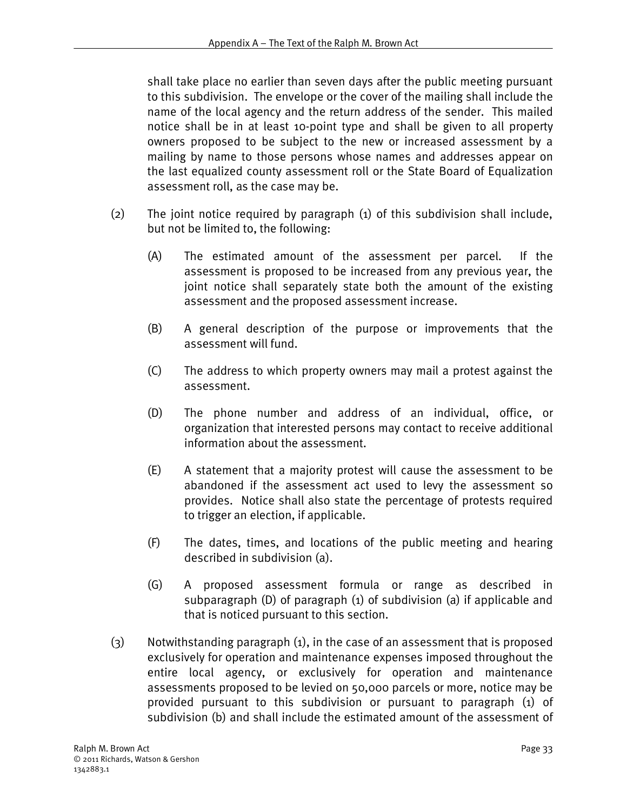shall take place no earlier than seven days after the public meeting pursuant to this subdivision. The envelope or the cover of the mailing shall include the name of the local agency and the return address of the sender. This mailed notice shall be in at least 10-point type and shall be given to all property owners proposed to be subject to the new or increased assessment by a mailing by name to those persons whose names and addresses appear on the last equalized county assessment roll or the State Board of Equalization assessment roll, as the case may be.

- (2) The joint notice required by paragraph (1) of this subdivision shall include, but not be limited to, the following:
	- (A) The estimated amount of the assessment per parcel. If the assessment is proposed to be increased from any previous year, the joint notice shall separately state both the amount of the existing assessment and the proposed assessment increase.
	- (B) A general description of the purpose or improvements that the assessment will fund.
	- (C) The address to which property owners may mail a protest against the assessment.
	- (D) The phone number and address of an individual, office, or organization that interested persons may contact to receive additional information about the assessment.
	- (E) A statement that a majority protest will cause the assessment to be abandoned if the assessment act used to levy the assessment so provides. Notice shall also state the percentage of protests required to trigger an election, if applicable.
	- (F) The dates, times, and locations of the public meeting and hearing described in subdivision (a).
	- (G) A proposed assessment formula or range as described in subparagraph (D) of paragraph (1) of subdivision (a) if applicable and that is noticed pursuant to this section.
- $(3)$  Notwithstanding paragraph  $(1)$ , in the case of an assessment that is proposed exclusively for operation and maintenance expenses imposed throughout the entire local agency, or exclusively for operation and maintenance assessments proposed to be levied on 50,000 parcels or more, notice may be provided pursuant to this subdivision or pursuant to paragraph (1) of subdivision (b) and shall include the estimated amount of the assessment of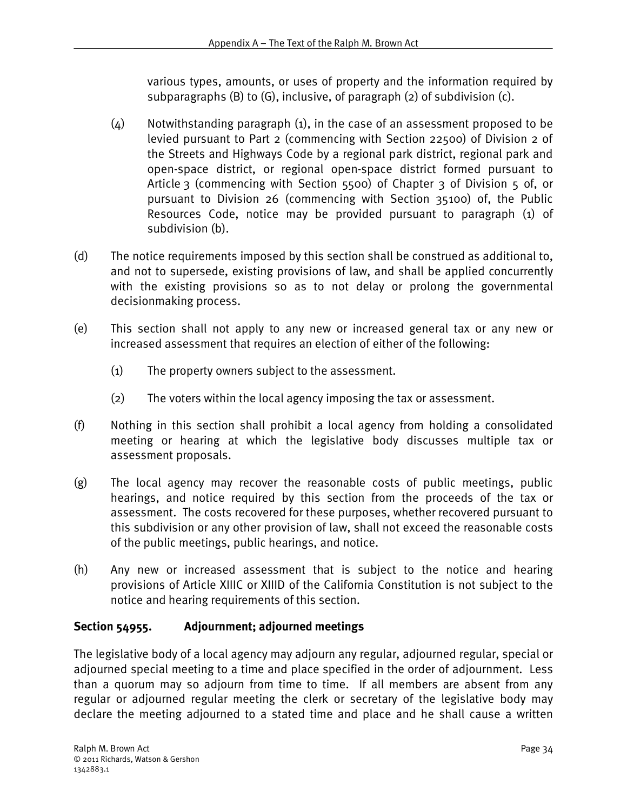various types, amounts, or uses of property and the information required by subparagraphs (B) to (G), inclusive, of paragraph (2) of subdivision (c).

- $(4)$  Notwithstanding paragraph  $(1)$ , in the case of an assessment proposed to be levied pursuant to Part 2 (commencing with Section 22500) of Division 2 of the Streets and Highways Code by a regional park district, regional park and open-space district, or regional open-space district formed pursuant to Article 3 (commencing with Section 5500) of Chapter 3 of Division 5 of, or pursuant to Division 26 (commencing with Section 35100) of, the Public Resources Code, notice may be provided pursuant to paragraph (1) of subdivision (b).
- (d) The notice requirements imposed by this section shall be construed as additional to, and not to supersede, existing provisions of law, and shall be applied concurrently with the existing provisions so as to not delay or prolong the governmental decisionmaking process.
- (e) This section shall not apply to any new or increased general tax or any new or increased assessment that requires an election of either of the following:
	- (1) The property owners subject to the assessment.
	- (2) The voters within the local agency imposing the tax or assessment.
- (f) Nothing in this section shall prohibit a local agency from holding a consolidated meeting or hearing at which the legislative body discusses multiple tax or assessment proposals.
- (g) The local agency may recover the reasonable costs of public meetings, public hearings, and notice required by this section from the proceeds of the tax or assessment. The costs recovered for these purposes, whether recovered pursuant to this subdivision or any other provision of law, shall not exceed the reasonable costs of the public meetings, public hearings, and notice.
- (h) Any new or increased assessment that is subject to the notice and hearing provisions of Article XIIIC or XIIID of the California Constitution is not subject to the notice and hearing requirements of this section.

## **Section 54955. Adjournment; adjourned meetings**

The legislative body of a local agency may adjourn any regular, adjourned regular, special or adjourned special meeting to a time and place specified in the order of adjournment. Less than a quorum may so adjourn from time to time. If all members are absent from any regular or adjourned regular meeting the clerk or secretary of the legislative body may declare the meeting adjourned to a stated time and place and he shall cause a written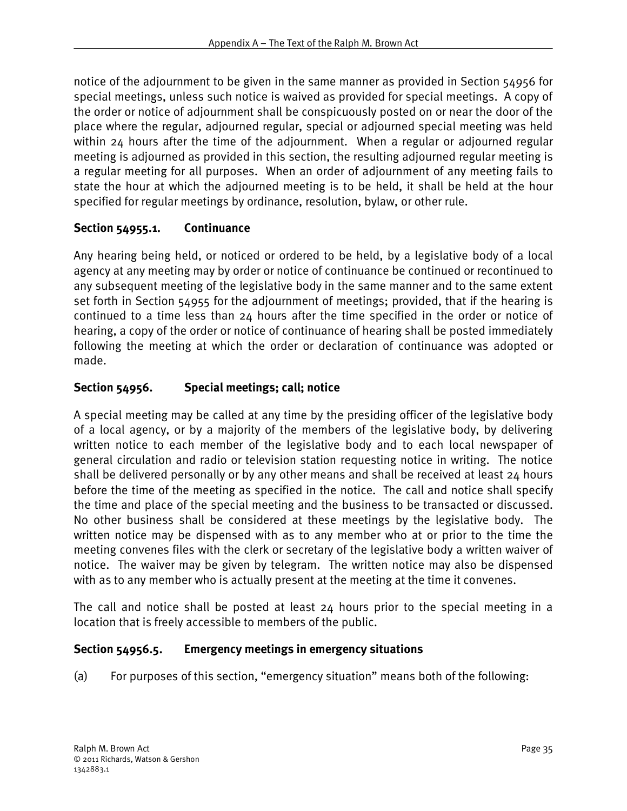notice of the adjournment to be given in the same manner as provided in Section 54956 for special meetings, unless such notice is waived as provided for special meetings. A copy of the order or notice of adjournment shall be conspicuously posted on or near the door of the place where the regular, adjourned regular, special or adjourned special meeting was held within 24 hours after the time of the adjournment. When a regular or adjourned regular meeting is adjourned as provided in this section, the resulting adjourned regular meeting is a regular meeting for all purposes. When an order of adjournment of any meeting fails to state the hour at which the adjourned meeting is to be held, it shall be held at the hour specified for regular meetings by ordinance, resolution, bylaw, or other rule.

#### **Section 54955.1. Continuance**

Any hearing being held, or noticed or ordered to be held, by a legislative body of a local agency at any meeting may by order or notice of continuance be continued or recontinued to any subsequent meeting of the legislative body in the same manner and to the same extent set forth in Section 54955 for the adjournment of meetings; provided, that if the hearing is continued to a time less than 24 hours after the time specified in the order or notice of hearing, a copy of the order or notice of continuance of hearing shall be posted immediately following the meeting at which the order or declaration of continuance was adopted or made.

## **Section 54956. Special meetings; call; notice**

A special meeting may be called at any time by the presiding officer of the legislative body of a local agency, or by a majority of the members of the legislative body, by delivering written notice to each member of the legislative body and to each local newspaper of general circulation and radio or television station requesting notice in writing. The notice shall be delivered personally or by any other means and shall be received at least 24 hours before the time of the meeting as specified in the notice. The call and notice shall specify the time and place of the special meeting and the business to be transacted or discussed. No other business shall be considered at these meetings by the legislative body. The written notice may be dispensed with as to any member who at or prior to the time the meeting convenes files with the clerk or secretary of the legislative body a written waiver of notice. The waiver may be given by telegram. The written notice may also be dispensed with as to any member who is actually present at the meeting at the time it convenes.

The call and notice shall be posted at least 24 hours prior to the special meeting in a location that is freely accessible to members of the public.

#### **Section 54956.5. Emergency meetings in emergency situations**

(a) For purposes of this section, "emergency situation" means both of the following: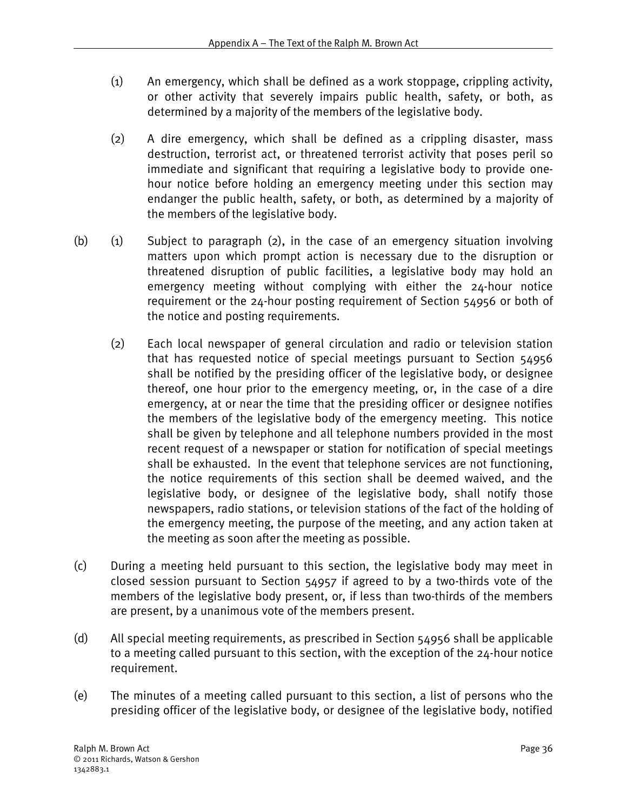- (1) An emergency, which shall be defined as a work stoppage, crippling activity, or other activity that severely impairs public health, safety, or both, as determined by a majority of the members of the legislative body.
- (2) A dire emergency, which shall be defined as a crippling disaster, mass destruction, terrorist act, or threatened terrorist activity that poses peril so immediate and significant that requiring a legislative body to provide onehour notice before holding an emergency meeting under this section may endanger the public health, safety, or both, as determined by a majority of the members of the legislative body.
- (b) (1) Subject to paragraph (2), in the case of an emergency situation involving matters upon which prompt action is necessary due to the disruption or threatened disruption of public facilities, a legislative body may hold an emergency meeting without complying with either the 24-hour notice requirement or the 24-hour posting requirement of Section 54956 or both of the notice and posting requirements.
	- (2) Each local newspaper of general circulation and radio or television station that has requested notice of special meetings pursuant to Section 54956 shall be notified by the presiding officer of the legislative body, or designee thereof, one hour prior to the emergency meeting, or, in the case of a dire emergency, at or near the time that the presiding officer or designee notifies the members of the legislative body of the emergency meeting. This notice shall be given by telephone and all telephone numbers provided in the most recent request of a newspaper or station for notification of special meetings shall be exhausted. In the event that telephone services are not functioning, the notice requirements of this section shall be deemed waived, and the legislative body, or designee of the legislative body, shall notify those newspapers, radio stations, or television stations of the fact of the holding of the emergency meeting, the purpose of the meeting, and any action taken at the meeting as soon after the meeting as possible.
- (c) During a meeting held pursuant to this section, the legislative body may meet in closed session pursuant to Section 54957 if agreed to by a two-thirds vote of the members of the legislative body present, or, if less than two-thirds of the members are present, by a unanimous vote of the members present.
- (d) All special meeting requirements, as prescribed in Section 54956 shall be applicable to a meeting called pursuant to this section, with the exception of the 24-hour notice requirement.
- (e) The minutes of a meeting called pursuant to this section, a list of persons who the presiding officer of the legislative body, or designee of the legislative body, notified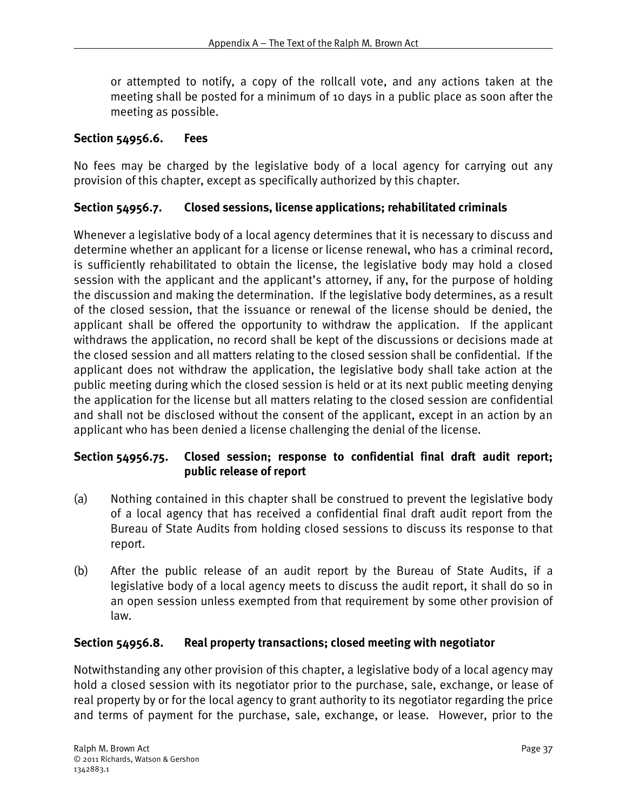or attempted to notify, a copy of the rollcall vote, and any actions taken at the meeting shall be posted for a minimum of 10 days in a public place as soon after the meeting as possible.

#### **Section 54956.6. Fees**

No fees may be charged by the legislative body of a local agency for carrying out any provision of this chapter, except as specifically authorized by this chapter.

#### **Section 54956.7. Closed sessions, license applications; rehabilitated criminals**

Whenever a legislative body of a local agency determines that it is necessary to discuss and determine whether an applicant for a license or license renewal, who has a criminal record, is sufficiently rehabilitated to obtain the license, the legislative body may hold a closed session with the applicant and the applicant's attorney, if any, for the purpose of holding the discussion and making the determination. If the legislative body determines, as a result of the closed session, that the issuance or renewal of the license should be denied, the applicant shall be offered the opportunity to withdraw the application. If the applicant withdraws the application, no record shall be kept of the discussions or decisions made at the closed session and all matters relating to the closed session shall be confidential. If the applicant does not withdraw the application, the legislative body shall take action at the public meeting during which the closed session is held or at its next public meeting denying the application for the license but all matters relating to the closed session are confidential and shall not be disclosed without the consent of the applicant, except in an action by an applicant who has been denied a license challenging the denial of the license.

#### **Section 54956.75. Closed session; response to confidential final draft audit report; public release of report**

- (a) Nothing contained in this chapter shall be construed to prevent the legislative body of a local agency that has received a confidential final draft audit report from the Bureau of State Audits from holding closed sessions to discuss its response to that report.
- (b) After the public release of an audit report by the Bureau of State Audits, if a legislative body of a local agency meets to discuss the audit report, it shall do so in an open session unless exempted from that requirement by some other provision of law.

#### **Section 54956.8. Real property transactions; closed meeting with negotiator**

Notwithstanding any other provision of this chapter, a legislative body of a local agency may hold a closed session with its negotiator prior to the purchase, sale, exchange, or lease of real property by or for the local agency to grant authority to its negotiator regarding the price and terms of payment for the purchase, sale, exchange, or lease. However, prior to the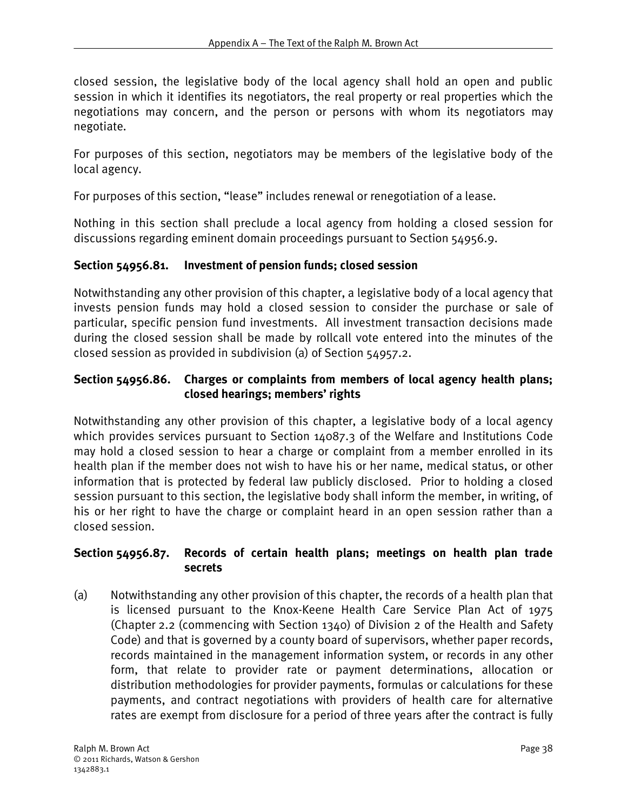closed session, the legislative body of the local agency shall hold an open and public session in which it identifies its negotiators, the real property or real properties which the negotiations may concern, and the person or persons with whom its negotiators may negotiate.

For purposes of this section, negotiators may be members of the legislative body of the local agency.

For purposes of this section, "lease" includes renewal or renegotiation of a lease.

Nothing in this section shall preclude a local agency from holding a closed session for discussions regarding eminent domain proceedings pursuant to Section 54956.9.

#### **Section 54956.81. Investment of pension funds; closed session**

Notwithstanding any other provision of this chapter, a legislative body of a local agency that invests pension funds may hold a closed session to consider the purchase or sale of particular, specific pension fund investments. All investment transaction decisions made during the closed session shall be made by rollcall vote entered into the minutes of the closed session as provided in subdivision (a) of Section 54957.2.

#### **Section 54956.86. Charges or complaints from members of local agency health plans; closed hearings; members' rights**

Notwithstanding any other provision of this chapter, a legislative body of a local agency which provides services pursuant to Section 14087.3 of the Welfare and Institutions Code may hold a closed session to hear a charge or complaint from a member enrolled in its health plan if the member does not wish to have his or her name, medical status, or other information that is protected by federal law publicly disclosed. Prior to holding a closed session pursuant to this section, the legislative body shall inform the member, in writing, of his or her right to have the charge or complaint heard in an open session rather than a closed session.

#### **Section 54956.87. Records of certain health plans; meetings on health plan trade secrets**

(a) Notwithstanding any other provision of this chapter, the records of a health plan that is licensed pursuant to the Knox-Keene Health Care Service Plan Act of 1975 (Chapter 2.2 (commencing with Section 1340) of Division 2 of the Health and Safety Code) and that is governed by a county board of supervisors, whether paper records, records maintained in the management information system, or records in any other form, that relate to provider rate or payment determinations, allocation or distribution methodologies for provider payments, formulas or calculations for these payments, and contract negotiations with providers of health care for alternative rates are exempt from disclosure for a period of three years after the contract is fully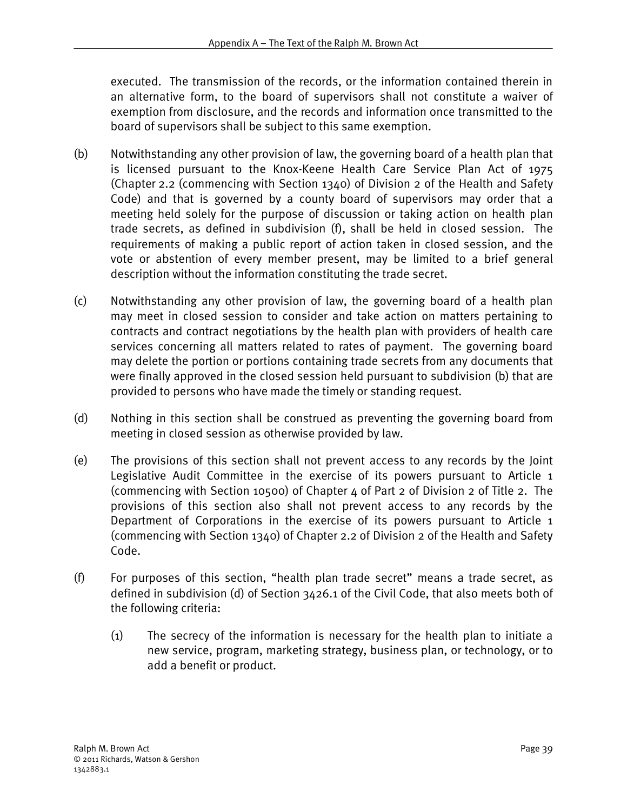executed. The transmission of the records, or the information contained therein in an alternative form, to the board of supervisors shall not constitute a waiver of exemption from disclosure, and the records and information once transmitted to the board of supervisors shall be subject to this same exemption.

- (b) Notwithstanding any other provision of law, the governing board of a health plan that is licensed pursuant to the Knox-Keene Health Care Service Plan Act of 1975 (Chapter 2.2 (commencing with Section 1340) of Division 2 of the Health and Safety Code) and that is governed by a county board of supervisors may order that a meeting held solely for the purpose of discussion or taking action on health plan trade secrets, as defined in subdivision (f), shall be held in closed session. The requirements of making a public report of action taken in closed session, and the vote or abstention of every member present, may be limited to a brief general description without the information constituting the trade secret.
- (c) Notwithstanding any other provision of law, the governing board of a health plan may meet in closed session to consider and take action on matters pertaining to contracts and contract negotiations by the health plan with providers of health care services concerning all matters related to rates of payment. The governing board may delete the portion or portions containing trade secrets from any documents that were finally approved in the closed session held pursuant to subdivision (b) that are provided to persons who have made the timely or standing request.
- (d) Nothing in this section shall be construed as preventing the governing board from meeting in closed session as otherwise provided by law.
- (e) The provisions of this section shall not prevent access to any records by the Joint Legislative Audit Committee in the exercise of its powers pursuant to Article 1 (commencing with Section 10500) of Chapter 4 of Part 2 of Division 2 of Title 2. The provisions of this section also shall not prevent access to any records by the Department of Corporations in the exercise of its powers pursuant to Article 1 (commencing with Section 1340) of Chapter 2.2 of Division 2 of the Health and Safety Code.
- (f) For purposes of this section, "health plan trade secret" means a trade secret, as defined in subdivision (d) of Section 3426.1 of the Civil Code, that also meets both of the following criteria:
	- (1) The secrecy of the information is necessary for the health plan to initiate a new service, program, marketing strategy, business plan, or technology, or to add a benefit or product.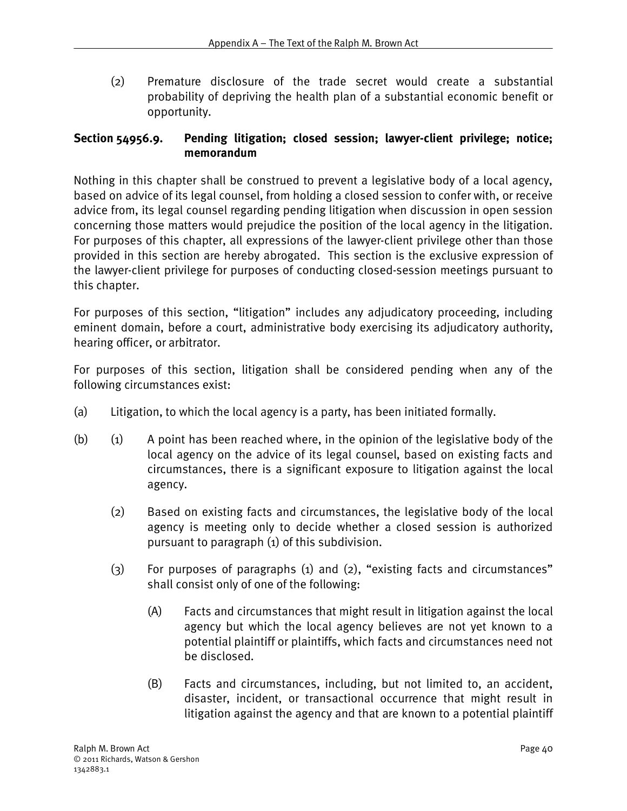(2) Premature disclosure of the trade secret would create a substantial probability of depriving the health plan of a substantial economic benefit or opportunity.

#### **Section 54956.9. Pending litigation; closed session; lawyer-client privilege; notice; memorandum**

Nothing in this chapter shall be construed to prevent a legislative body of a local agency, based on advice of its legal counsel, from holding a closed session to confer with, or receive advice from, its legal counsel regarding pending litigation when discussion in open session concerning those matters would prejudice the position of the local agency in the litigation. For purposes of this chapter, all expressions of the lawyer-client privilege other than those provided in this section are hereby abrogated. This section is the exclusive expression of the lawyer-client privilege for purposes of conducting closed-session meetings pursuant to this chapter.

For purposes of this section, "litigation" includes any adjudicatory proceeding, including eminent domain, before a court, administrative body exercising its adjudicatory authority, hearing officer, or arbitrator.

For purposes of this section, litigation shall be considered pending when any of the following circumstances exist:

- (a) Litigation, to which the local agency is a party, has been initiated formally.
- (b) (1) A point has been reached where, in the opinion of the legislative body of the local agency on the advice of its legal counsel, based on existing facts and circumstances, there is a significant exposure to litigation against the local agency.
	- (2) Based on existing facts and circumstances, the legislative body of the local agency is meeting only to decide whether a closed session is authorized pursuant to paragraph (1) of this subdivision.
	- (3) For purposes of paragraphs (1) and (2), "existing facts and circumstances" shall consist only of one of the following:
		- (A) Facts and circumstances that might result in litigation against the local agency but which the local agency believes are not yet known to a potential plaintiff or plaintiffs, which facts and circumstances need not be disclosed.
		- (B) Facts and circumstances, including, but not limited to, an accident, disaster, incident, or transactional occurrence that might result in litigation against the agency and that are known to a potential plaintiff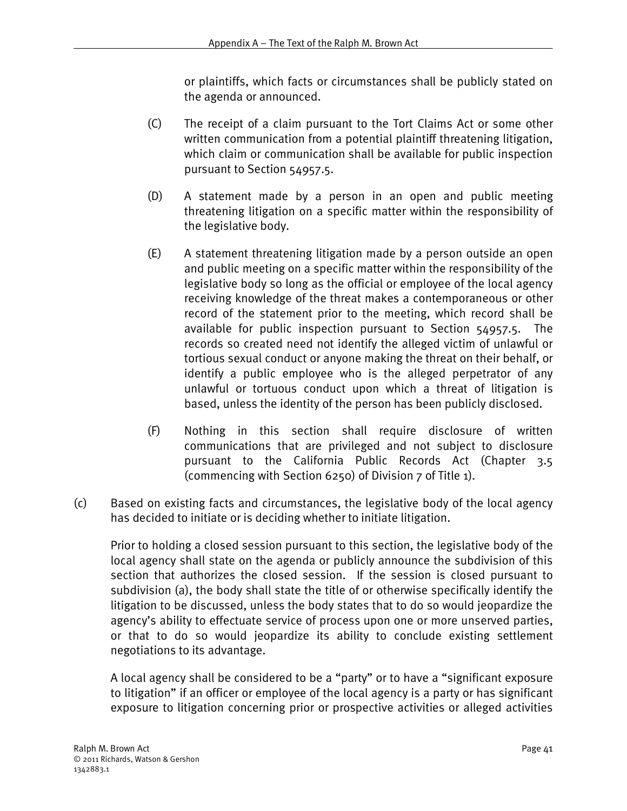or plaintiffs, which facts or circumstances shall be publicly stated on the agenda or announced.

- (C) The receipt of a claim pursuant to the Tort Claims Act or some other written communication from a potential plaintiff threatening litigation, which claim or communication shall be available for public inspection pursuant to Section 54957.5.
- (D) A statement made by a person in an open and public meeting threatening litigation on a specific matter within the responsibility of the legislative body.
- (E) A statement threatening litigation made by a person outside an open and public meeting on a specific matter within the responsibility of the legislative body so long as the official or employee of the local agency receiving knowledge of the threat makes a contemporaneous or other record of the statement prior to the meeting, which record shall be available for public inspection pursuant to Section 54957.5. The records so created need not identify the alleged victim of unlawful or tortious sexual conduct or anyone making the threat on their behalf, or identify a public employee who is the alleged perpetrator of any unlawful or tortuous conduct upon which a threat of litigation is based, unless the identity of the person has been publicly disclosed.
- (F) Nothing in this section shall require disclosure of written communications that are privileged and not subject to disclosure pursuant to the California Public Records Act (Chapter 3.5 (commencing with Section 6250) of Division 7 of Title 1).
- (c) Based on existing facts and circumstances, the legislative body of the local agency has decided to initiate or is deciding whether to initiate litigation.

Prior to holding a closed session pursuant to this section, the legislative body of the local agency shall state on the agenda or publicly announce the subdivision of this section that authorizes the closed session. If the session is closed pursuant to subdivision (a), the body shall state the title of or otherwise specifically identify the litigation to be discussed, unless the body states that to do so would jeopardize the agency's ability to effectuate service of process upon one or more unserved parties, or that to do so would jeopardize its ability to conclude existing settlement negotiations to its advantage.

A local agency shall be considered to be a "party" or to have a "significant exposure to litigation" if an officer or employee of the local agency is a party or has significant exposure to litigation concerning prior or prospective activities or alleged activities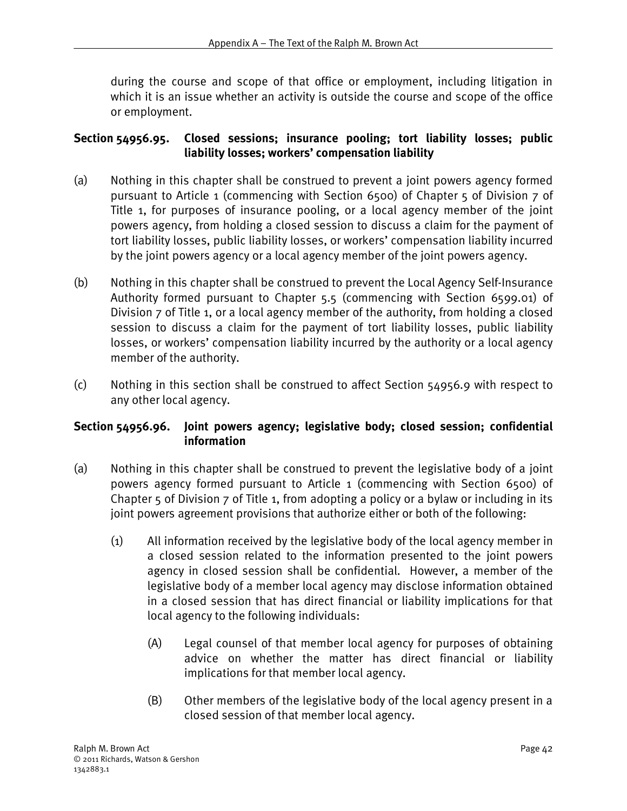during the course and scope of that office or employment, including litigation in which it is an issue whether an activity is outside the course and scope of the office or employment.

#### **Section 54956.95. Closed sessions; insurance pooling; tort liability losses; public liability losses; workers' compensation liability**

- (a) Nothing in this chapter shall be construed to prevent a joint powers agency formed pursuant to Article 1 (commencing with Section 6500) of Chapter 5 of Division 7 of Title 1, for purposes of insurance pooling, or a local agency member of the joint powers agency, from holding a closed session to discuss a claim for the payment of tort liability losses, public liability losses, or workers' compensation liability incurred by the joint powers agency or a local agency member of the joint powers agency.
- (b) Nothing in this chapter shall be construed to prevent the Local Agency Self-Insurance Authority formed pursuant to Chapter 5.5 (commencing with Section 6599.01) of Division 7 of Title 1, or a local agency member of the authority, from holding a closed session to discuss a claim for the payment of tort liability losses, public liability losses, or workers' compensation liability incurred by the authority or a local agency member of the authority.
- (c) Nothing in this section shall be construed to affect Section 54956.9 with respect to any other local agency.

#### **Section 54956.96. Joint powers agency; legislative body; closed session; confidential information**

- (a) Nothing in this chapter shall be construed to prevent the legislative body of a joint powers agency formed pursuant to Article 1 (commencing with Section 6500) of Chapter 5 of Division 7 of Title 1, from adopting a policy or a bylaw or including in its joint powers agreement provisions that authorize either or both of the following:
	- (1) All information received by the legislative body of the local agency member in a closed session related to the information presented to the joint powers agency in closed session shall be confidential. However, a member of the legislative body of a member local agency may disclose information obtained in a closed session that has direct financial or liability implications for that local agency to the following individuals:
		- (A) Legal counsel of that member local agency for purposes of obtaining advice on whether the matter has direct financial or liability implications for that member local agency.
		- (B) Other members of the legislative body of the local agency present in a closed session of that member local agency.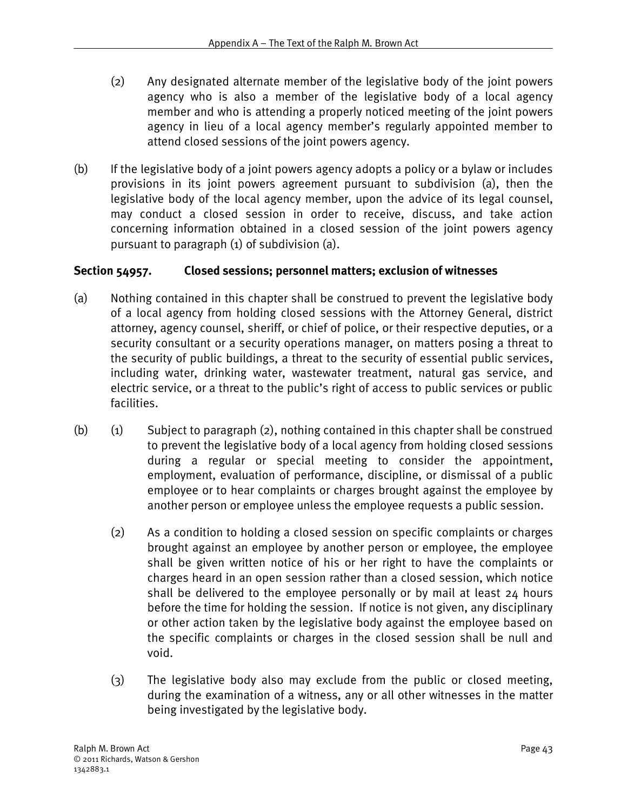- (2) Any designated alternate member of the legislative body of the joint powers agency who is also a member of the legislative body of a local agency member and who is attending a properly noticed meeting of the joint powers agency in lieu of a local agency member's regularly appointed member to attend closed sessions of the joint powers agency.
- (b) If the legislative body of a joint powers agency adopts a policy or a bylaw or includes provisions in its joint powers agreement pursuant to subdivision (a), then the legislative body of the local agency member, upon the advice of its legal counsel, may conduct a closed session in order to receive, discuss, and take action concerning information obtained in a closed session of the joint powers agency pursuant to paragraph (1) of subdivision (a).

#### **Section 54957. Closed sessions; personnel matters; exclusion of witnesses**

- (a) Nothing contained in this chapter shall be construed to prevent the legislative body of a local agency from holding closed sessions with the Attorney General, district attorney, agency counsel, sheriff, or chief of police, or their respective deputies, or a security consultant or a security operations manager, on matters posing a threat to the security of public buildings, a threat to the security of essential public services, including water, drinking water, wastewater treatment, natural gas service, and electric service, or a threat to the public's right of access to public services or public facilities.
- (b) (1) Subject to paragraph (2), nothing contained in this chapter shall be construed to prevent the legislative body of a local agency from holding closed sessions during a regular or special meeting to consider the appointment, employment, evaluation of performance, discipline, or dismissal of a public employee or to hear complaints or charges brought against the employee by another person or employee unless the employee requests a public session.
	- (2) As a condition to holding a closed session on specific complaints or charges brought against an employee by another person or employee, the employee shall be given written notice of his or her right to have the complaints or charges heard in an open session rather than a closed session, which notice shall be delivered to the employee personally or by mail at least 24 hours before the time for holding the session. If notice is not given, any disciplinary or other action taken by the legislative body against the employee based on the specific complaints or charges in the closed session shall be null and void.
	- (3) The legislative body also may exclude from the public or closed meeting, during the examination of a witness, any or all other witnesses in the matter being investigated by the legislative body.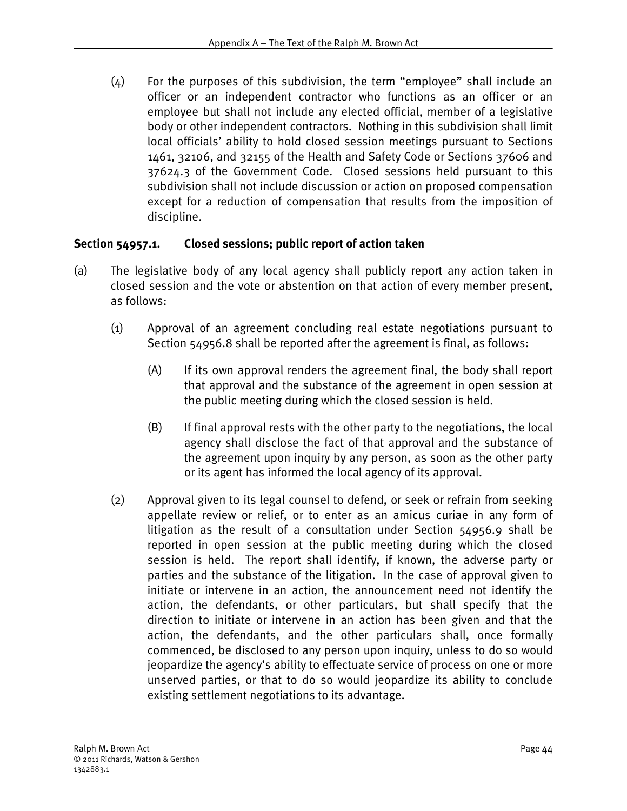$(4)$  For the purposes of this subdivision, the term "employee" shall include an officer or an independent contractor who functions as an officer or an employee but shall not include any elected official, member of a legislative body or other independent contractors. Nothing in this subdivision shall limit local officials' ability to hold closed session meetings pursuant to Sections 1461, 32106, and 32155 of the Health and Safety Code or Sections 37606 and 37624.3 of the Government Code. Closed sessions held pursuant to this subdivision shall not include discussion or action on proposed compensation except for a reduction of compensation that results from the imposition of discipline.

#### **Section 54957.1. Closed sessions; public report of action taken**

- (a) The legislative body of any local agency shall publicly report any action taken in closed session and the vote or abstention on that action of every member present, as follows:
	- (1) Approval of an agreement concluding real estate negotiations pursuant to Section 54956.8 shall be reported after the agreement is final, as follows:
		- (A) If its own approval renders the agreement final, the body shall report that approval and the substance of the agreement in open session at the public meeting during which the closed session is held.
		- (B) If final approval rests with the other party to the negotiations, the local agency shall disclose the fact of that approval and the substance of the agreement upon inquiry by any person, as soon as the other party or its agent has informed the local agency of its approval.
	- (2) Approval given to its legal counsel to defend, or seek or refrain from seeking appellate review or relief, or to enter as an amicus curiae in any form of litigation as the result of a consultation under Section 54956.9 shall be reported in open session at the public meeting during which the closed session is held. The report shall identify, if known, the adverse party or parties and the substance of the litigation. In the case of approval given to initiate or intervene in an action, the announcement need not identify the action, the defendants, or other particulars, but shall specify that the direction to initiate or intervene in an action has been given and that the action, the defendants, and the other particulars shall, once formally commenced, be disclosed to any person upon inquiry, unless to do so would jeopardize the agency's ability to effectuate service of process on one or more unserved parties, or that to do so would jeopardize its ability to conclude existing settlement negotiations to its advantage.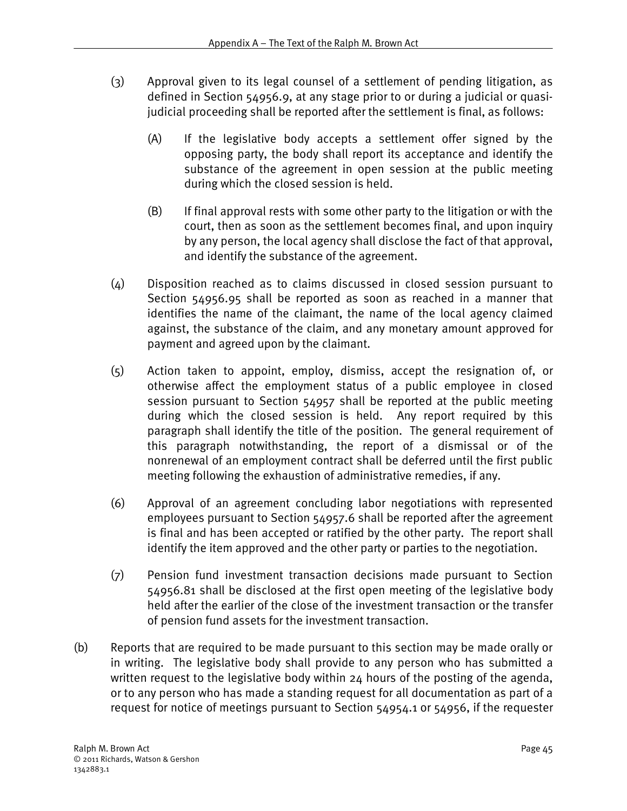- (3) Approval given to its legal counsel of a settlement of pending litigation, as defined in Section 54956.9, at any stage prior to or during a judicial or quasijudicial proceeding shall be reported after the settlement is final, as follows:
	- (A) If the legislative body accepts a settlement offer signed by the opposing party, the body shall report its acceptance and identify the substance of the agreement in open session at the public meeting during which the closed session is held.
	- (B) If final approval rests with some other party to the litigation or with the court, then as soon as the settlement becomes final, and upon inquiry by any person, the local agency shall disclose the fact of that approval, and identify the substance of the agreement.
- (4) Disposition reached as to claims discussed in closed session pursuant to Section 54956.95 shall be reported as soon as reached in a manner that identifies the name of the claimant, the name of the local agency claimed against, the substance of the claim, and any monetary amount approved for payment and agreed upon by the claimant.
- (5) Action taken to appoint, employ, dismiss, accept the resignation of, or otherwise affect the employment status of a public employee in closed session pursuant to Section 54957 shall be reported at the public meeting during which the closed session is held. Any report required by this paragraph shall identify the title of the position. The general requirement of this paragraph notwithstanding, the report of a dismissal or of the nonrenewal of an employment contract shall be deferred until the first public meeting following the exhaustion of administrative remedies, if any.
- (6) Approval of an agreement concluding labor negotiations with represented employees pursuant to Section 54957.6 shall be reported after the agreement is final and has been accepted or ratified by the other party. The report shall identify the item approved and the other party or parties to the negotiation.
- (7) Pension fund investment transaction decisions made pursuant to Section 54956.81 shall be disclosed at the first open meeting of the legislative body held after the earlier of the close of the investment transaction or the transfer of pension fund assets for the investment transaction.
- (b) Reports that are required to be made pursuant to this section may be made orally or in writing. The legislative body shall provide to any person who has submitted a written request to the legislative body within  $24$  hours of the posting of the agenda, or to any person who has made a standing request for all documentation as part of a request for notice of meetings pursuant to Section 54954.1 or 54956, if the requester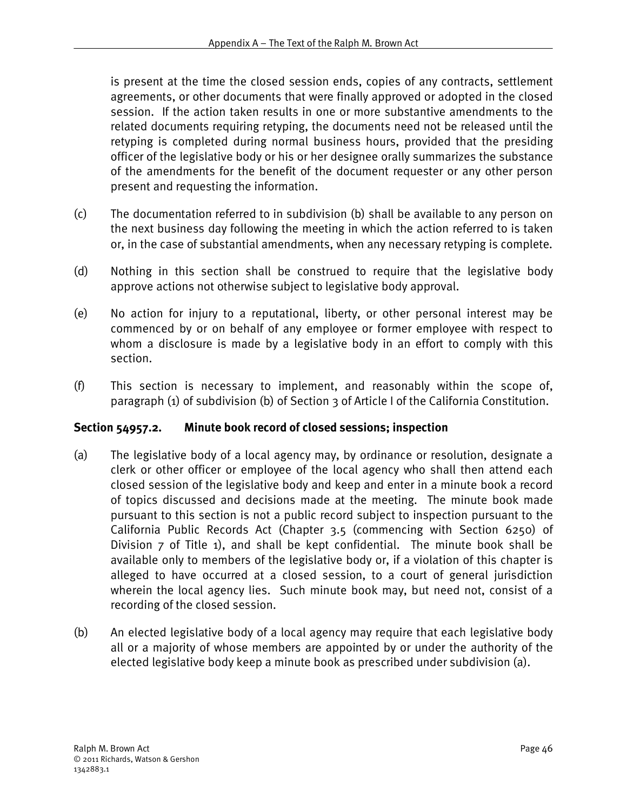is present at the time the closed session ends, copies of any contracts, settlement agreements, or other documents that were finally approved or adopted in the closed session. If the action taken results in one or more substantive amendments to the related documents requiring retyping, the documents need not be released until the retyping is completed during normal business hours, provided that the presiding officer of the legislative body or his or her designee orally summarizes the substance of the amendments for the benefit of the document requester or any other person present and requesting the information.

- (c) The documentation referred to in subdivision (b) shall be available to any person on the next business day following the meeting in which the action referred to is taken or, in the case of substantial amendments, when any necessary retyping is complete.
- (d) Nothing in this section shall be construed to require that the legislative body approve actions not otherwise subject to legislative body approval.
- (e) No action for injury to a reputational, liberty, or other personal interest may be commenced by or on behalf of any employee or former employee with respect to whom a disclosure is made by a legislative body in an effort to comply with this section.
- (f) This section is necessary to implement, and reasonably within the scope of, paragraph (1) of subdivision (b) of Section 3 of Article I of the California Constitution.

#### **Section 54957.2. Minute book record of closed sessions; inspection**

- (a) The legislative body of a local agency may, by ordinance or resolution, designate a clerk or other officer or employee of the local agency who shall then attend each closed session of the legislative body and keep and enter in a minute book a record of topics discussed and decisions made at the meeting. The minute book made pursuant to this section is not a public record subject to inspection pursuant to the California Public Records Act (Chapter 3.5 (commencing with Section 6250) of Division 7 of Title 1), and shall be kept confidential. The minute book shall be available only to members of the legislative body or, if a violation of this chapter is alleged to have occurred at a closed session, to a court of general jurisdiction wherein the local agency lies. Such minute book may, but need not, consist of a recording of the closed session.
- (b) An elected legislative body of a local agency may require that each legislative body all or a majority of whose members are appointed by or under the authority of the elected legislative body keep a minute book as prescribed under subdivision (a).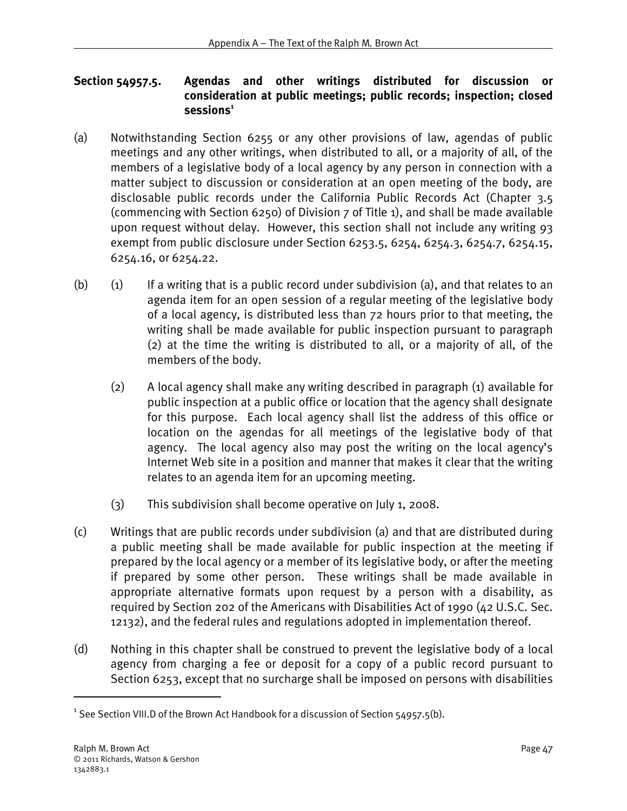#### **Section 54957.5. Agendas and other writings distributed for discussion or consideration at public meetings; public records; inspection; closed** sessions<sup>1</sup>

- (a) Notwithstanding Section 6255 or any other provisions of law, agendas of public meetings and any other writings, when distributed to all, or a majority of all, of the members of a legislative body of a local agency by any person in connection with a matter subject to discussion or consideration at an open meeting of the body, are disclosable public records under the California Public Records Act (Chapter 3.5 (commencing with Section 6250) of Division 7 of Title 1), and shall be made available upon request without delay. However, this section shall not include any writing 93 exempt from public disclosure under Section 6253.5, 6254, 6254.3, 6254.7, 6254.15, 6254.16, or 6254.22.
- $(b)$  (1) If a writing that is a public record under subdivision (a), and that relates to an agenda item for an open session of a regular meeting of the legislative body of a local agency, is distributed less than 72 hours prior to that meeting, the writing shall be made available for public inspection pursuant to paragraph (2) at the time the writing is distributed to all, or a majority of all, of the members of the body.
	- (2) A local agency shall make any writing described in paragraph (1) available for public inspection at a public office or location that the agency shall designate for this purpose. Each local agency shall list the address of this office or location on the agendas for all meetings of the legislative body of that agency. The local agency also may post the writing on the local agency's Internet Web site in a position and manner that makes it clear that the writing relates to an agenda item for an upcoming meeting.
	- (3) This subdivision shall become operative on July 1, 2008.
- (c) Writings that are public records under subdivision (a) and that are distributed during a public meeting shall be made available for public inspection at the meeting if prepared by the local agency or a member of its legislative body, or after the meeting if prepared by some other person. These writings shall be made available in appropriate alternative formats upon request by a person with a disability, as required by Section 202 of the Americans with Disabilities Act of 1990 (42 U.S.C. Sec. 12132), and the federal rules and regulations adopted in implementation thereof.
- (d) Nothing in this chapter shall be construed to prevent the legislative body of a local agency from charging a fee or deposit for a copy of a public record pursuant to Section 6253, except that no surcharge shall be imposed on persons with disabilities

<sup>&</sup>lt;sup>1</sup> See Section VIII.D of the Brown Act Handbook for a discussion of Section  $54957.5(b)$ .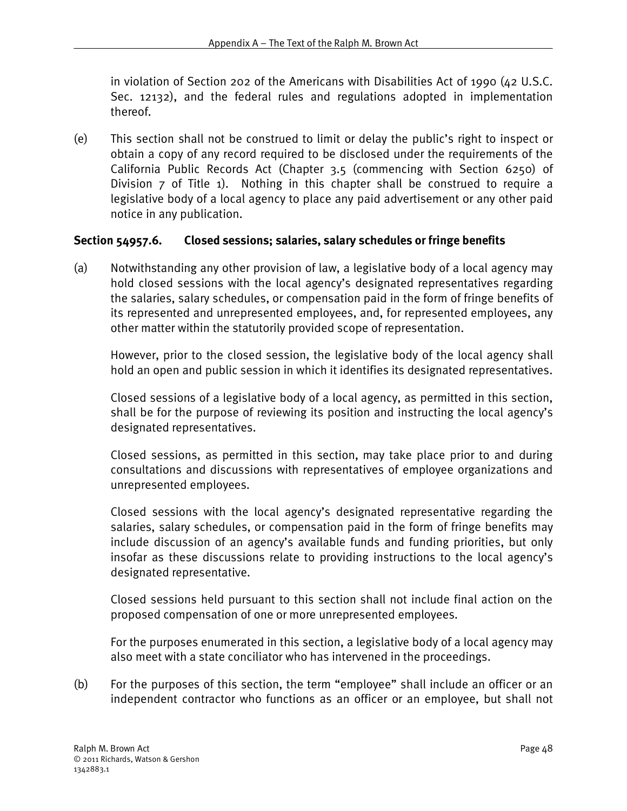in violation of Section 202 of the Americans with Disabilities Act of 1990 (42 U.S.C. Sec. 12132), and the federal rules and regulations adopted in implementation thereof.

(e) This section shall not be construed to limit or delay the public's right to inspect or obtain a copy of any record required to be disclosed under the requirements of the California Public Records Act (Chapter 3.5 (commencing with Section 6250) of Division 7 of Title 1). Nothing in this chapter shall be construed to require a legislative body of a local agency to place any paid advertisement or any other paid notice in any publication.

#### **Section 54957.6. Closed sessions; salaries, salary schedules or fringe benefits**

(a) Notwithstanding any other provision of law, a legislative body of a local agency may hold closed sessions with the local agency's designated representatives regarding the salaries, salary schedules, or compensation paid in the form of fringe benefits of its represented and unrepresented employees, and, for represented employees, any other matter within the statutorily provided scope of representation.

However, prior to the closed session, the legislative body of the local agency shall hold an open and public session in which it identifies its designated representatives.

Closed sessions of a legislative body of a local agency, as permitted in this section, shall be for the purpose of reviewing its position and instructing the local agency's designated representatives.

Closed sessions, as permitted in this section, may take place prior to and during consultations and discussions with representatives of employee organizations and unrepresented employees.

Closed sessions with the local agency's designated representative regarding the salaries, salary schedules, or compensation paid in the form of fringe benefits may include discussion of an agency's available funds and funding priorities, but only insofar as these discussions relate to providing instructions to the local agency's designated representative.

Closed sessions held pursuant to this section shall not include final action on the proposed compensation of one or more unrepresented employees.

For the purposes enumerated in this section, a legislative body of a local agency may also meet with a state conciliator who has intervened in the proceedings.

(b) For the purposes of this section, the term "employee" shall include an officer or an independent contractor who functions as an officer or an employee, but shall not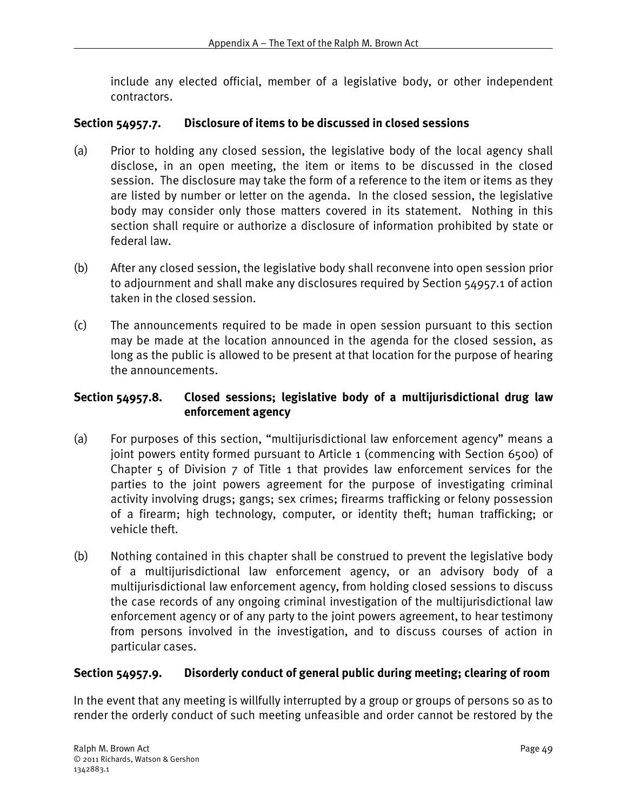include any elected official, member of a legislative body, or other independent contractors.

#### **Section 54957.7. Disclosure of items to be discussed in closed sessions**

- (a) Prior to holding any closed session, the legislative body of the local agency shall disclose, in an open meeting, the item or items to be discussed in the closed session. The disclosure may take the form of a reference to the item or items as they are listed by number or letter on the agenda. In the closed session, the legislative body may consider only those matters covered in its statement. Nothing in this section shall require or authorize a disclosure of information prohibited by state or federal law.
- (b) After any closed session, the legislative body shall reconvene into open session prior to adjournment and shall make any disclosures required by Section 54957.1 of action taken in the closed session.
- (c) The announcements required to be made in open session pursuant to this section may be made at the location announced in the agenda for the closed session, as long as the public is allowed to be present at that location for the purpose of hearing the announcements.

#### **Section 54957.8. Closed sessions; legislative body of a multijurisdictional drug law enforcement agency**

- (a) For purposes of this section, "multijurisdictional law enforcement agency" means a joint powers entity formed pursuant to Article 1 (commencing with Section 6500) of Chapter 5 of Division 7 of Title 1 that provides law enforcement services for the parties to the joint powers agreement for the purpose of investigating criminal activity involving drugs; gangs; sex crimes; firearms trafficking or felony possession of a firearm; high technology, computer, or identity theft; human trafficking; or vehicle theft.
- (b) Nothing contained in this chapter shall be construed to prevent the legislative body of a multijurisdictional law enforcement agency, or an advisory body of a multijurisdictional law enforcement agency, from holding closed sessions to discuss the case records of any ongoing criminal investigation of the multijurisdictional law enforcement agency or of any party to the joint powers agreement, to hear testimony from persons involved in the investigation, and to discuss courses of action in particular cases.

#### **Section 54957.9. Disorderly conduct of general public during meeting; clearing of room**

In the event that any meeting is willfully interrupted by a group or groups of persons so as to render the orderly conduct of such meeting unfeasible and order cannot be restored by the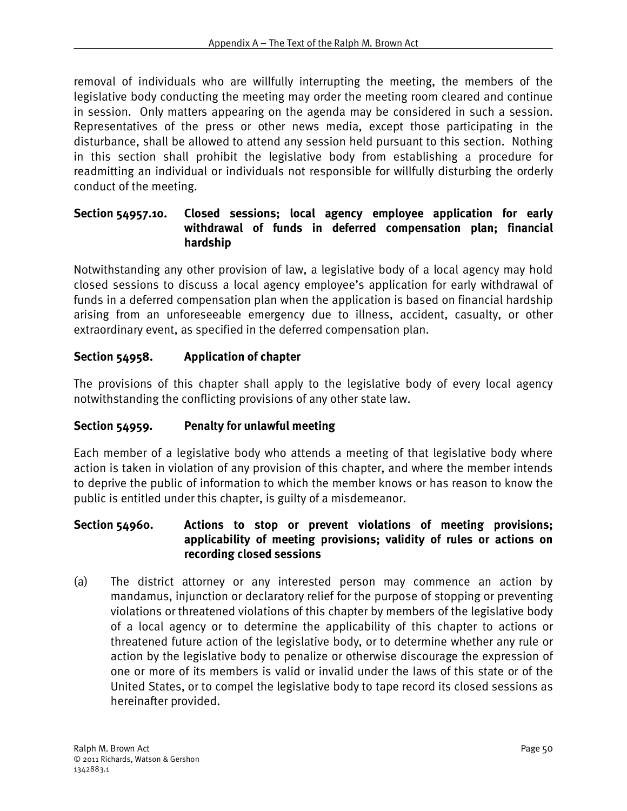removal of individuals who are willfully interrupting the meeting, the members of the legislative body conducting the meeting may order the meeting room cleared and continue in session. Only matters appearing on the agenda may be considered in such a session. Representatives of the press or other news media, except those participating in the disturbance, shall be allowed to attend any session held pursuant to this section. Nothing in this section shall prohibit the legislative body from establishing a procedure for readmitting an individual or individuals not responsible for willfully disturbing the orderly conduct of the meeting.

#### **Section 54957.10. Closed sessions; local agency employee application for early withdrawal of funds in deferred compensation plan; financial hardship**

Notwithstanding any other provision of law, a legislative body of a local agency may hold closed sessions to discuss a local agency employee's application for early withdrawal of funds in a deferred compensation plan when the application is based on financial hardship arising from an unforeseeable emergency due to illness, accident, casualty, or other extraordinary event, as specified in the deferred compensation plan.

## **Section 54958. Application of chapter**

The provisions of this chapter shall apply to the legislative body of every local agency notwithstanding the conflicting provisions of any other state law.

## **Section 54959. Penalty for unlawful meeting**

Each member of a legislative body who attends a meeting of that legislative body where action is taken in violation of any provision of this chapter, and where the member intends to deprive the public of information to which the member knows or has reason to know the public is entitled under this chapter, is guilty of a misdemeanor.

#### **Section 54960. Actions to stop or prevent violations of meeting provisions; applicability of meeting provisions; validity of rules or actions on recording closed sessions**

(a) The district attorney or any interested person may commence an action by mandamus, injunction or declaratory relief for the purpose of stopping or preventing violations or threatened violations of this chapter by members of the legislative body of a local agency or to determine the applicability of this chapter to actions or threatened future action of the legislative body, or to determine whether any rule or action by the legislative body to penalize or otherwise discourage the expression of one or more of its members is valid or invalid under the laws of this state or of the United States, or to compel the legislative body to tape record its closed sessions as hereinafter provided.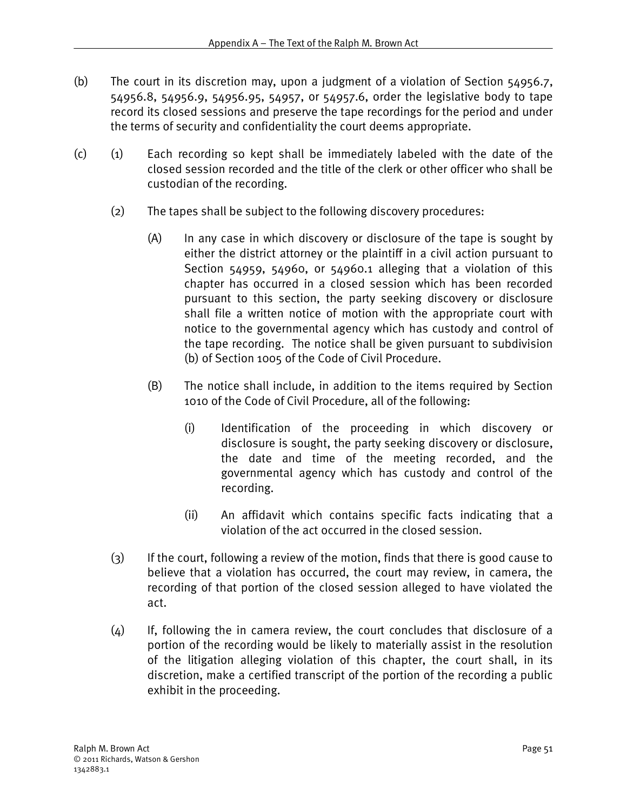- (b) The court in its discretion may, upon a judgment of a violation of Section 54956.7, 54956.8, 54956.9, 54956.95, 54957, or 54957.6, order the legislative body to tape record its closed sessions and preserve the tape recordings for the period and under the terms of security and confidentiality the court deems appropriate.
- (c) (1) Each recording so kept shall be immediately labeled with the date of the closed session recorded and the title of the clerk or other officer who shall be custodian of the recording.
	- (2) The tapes shall be subject to the following discovery procedures:
		- (A) In any case in which discovery or disclosure of the tape is sought by either the district attorney or the plaintiff in a civil action pursuant to Section 54959, 54960, or 54960.1 alleging that a violation of this chapter has occurred in a closed session which has been recorded pursuant to this section, the party seeking discovery or disclosure shall file a written notice of motion with the appropriate court with notice to the governmental agency which has custody and control of the tape recording. The notice shall be given pursuant to subdivision (b) of Section 1005 of the Code of Civil Procedure.
		- (B) The notice shall include, in addition to the items required by Section 1010 of the Code of Civil Procedure, all of the following:
			- (i) Identification of the proceeding in which discovery or disclosure is sought, the party seeking discovery or disclosure, the date and time of the meeting recorded, and the governmental agency which has custody and control of the recording.
			- (ii) An affidavit which contains specific facts indicating that a violation of the act occurred in the closed session.
	- (3) If the court, following a review of the motion, finds that there is good cause to believe that a violation has occurred, the court may review, in camera, the recording of that portion of the closed session alleged to have violated the act.
	- (4) If, following the in camera review, the court concludes that disclosure of a portion of the recording would be likely to materially assist in the resolution of the litigation alleging violation of this chapter, the court shall, in its discretion, make a certified transcript of the portion of the recording a public exhibit in the proceeding.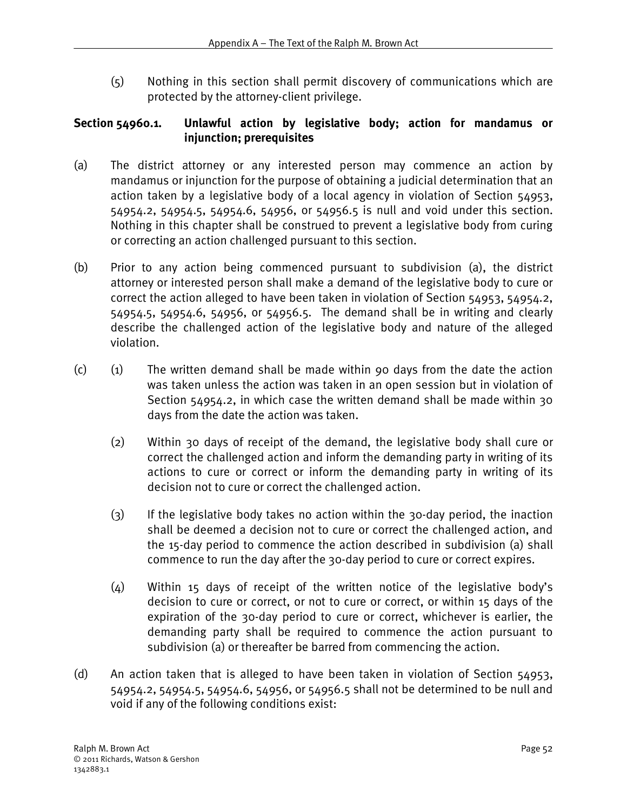(5) Nothing in this section shall permit discovery of communications which are protected by the attorney-client privilege.

#### **Section 54960.1. Unlawful action by legislative body; action for mandamus or injunction; prerequisites**

- (a) The district attorney or any interested person may commence an action by mandamus or injunction for the purpose of obtaining a judicial determination that an action taken by a legislative body of a local agency in violation of Section 54953, 54954.2, 54954.5, 54954.6, 54956, or 54956.5 is null and void under this section. Nothing in this chapter shall be construed to prevent a legislative body from curing or correcting an action challenged pursuant to this section.
- (b) Prior to any action being commenced pursuant to subdivision (a), the district attorney or interested person shall make a demand of the legislative body to cure or correct the action alleged to have been taken in violation of Section 54953, 54954.2, 54954.5, 54954.6, 54956, or 54956.5. The demand shall be in writing and clearly describe the challenged action of the legislative body and nature of the alleged violation.
- (c) (1) The written demand shall be made within 90 days from the date the action was taken unless the action was taken in an open session but in violation of Section 54954.2, in which case the written demand shall be made within 30 days from the date the action was taken.
	- (2) Within 30 days of receipt of the demand, the legislative body shall cure or correct the challenged action and inform the demanding party in writing of its actions to cure or correct or inform the demanding party in writing of its decision not to cure or correct the challenged action.
	- (3) If the legislative body takes no action within the 30-day period, the inaction shall be deemed a decision not to cure or correct the challenged action, and the 15-day period to commence the action described in subdivision (a) shall commence to run the day after the 30-day period to cure or correct expires.
	- (4) Within 15 days of receipt of the written notice of the legislative body's decision to cure or correct, or not to cure or correct, or within 15 days of the expiration of the 30-day period to cure or correct, whichever is earlier, the demanding party shall be required to commence the action pursuant to subdivision (a) or thereafter be barred from commencing the action.
- (d) An action taken that is alleged to have been taken in violation of Section 54953, 54954.2, 54954.5, 54954.6, 54956, or 54956.5 shall not be determined to be null and void if any of the following conditions exist: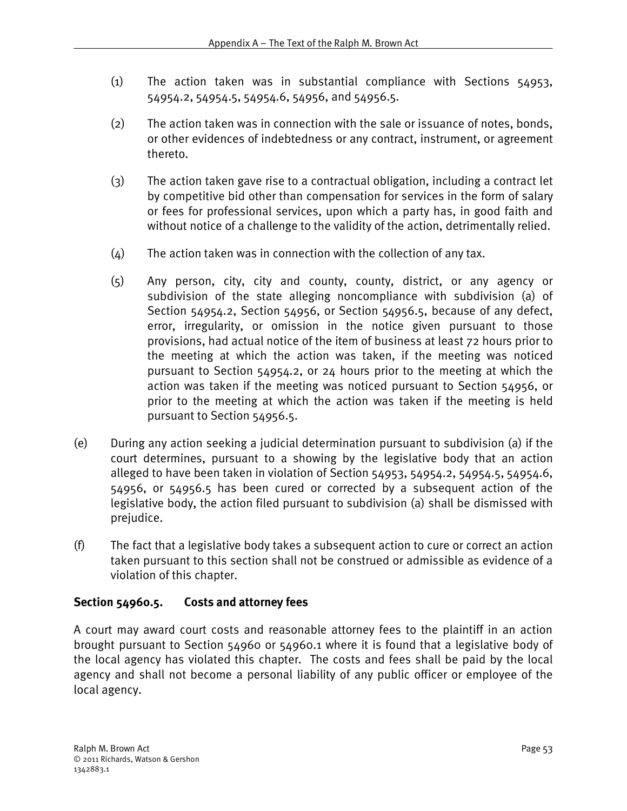- (1) The action taken was in substantial compliance with Sections 54953, 54954.2, 54954.5, 54954.6, 54956, and 54956.5.
- (2) The action taken was in connection with the sale or issuance of notes, bonds, or other evidences of indebtedness or any contract, instrument, or agreement thereto.
- (3) The action taken gave rise to a contractual obligation, including a contract let by competitive bid other than compensation for services in the form of salary or fees for professional services, upon which a party has, in good faith and without notice of a challenge to the validity of the action, detrimentally relied.
- (4) The action taken was in connection with the collection of any tax.
- (5) Any person, city, city and county, county, district, or any agency or subdivision of the state alleging noncompliance with subdivision (a) of Section 54954.2, Section 54956, or Section 54956.5, because of any defect, error, irregularity, or omission in the notice given pursuant to those provisions, had actual notice of the item of business at least 72 hours prior to the meeting at which the action was taken, if the meeting was noticed pursuant to Section 54954.2, or 24 hours prior to the meeting at which the action was taken if the meeting was noticed pursuant to Section 54956, or prior to the meeting at which the action was taken if the meeting is held pursuant to Section 54956.5.
- (e) During any action seeking a judicial determination pursuant to subdivision (a) if the court determines, pursuant to a showing by the legislative body that an action alleged to have been taken in violation of Section 54953, 54954.2, 54954.5, 54954.6, 54956, or 54956.5 has been cured or corrected by a subsequent action of the legislative body, the action filed pursuant to subdivision (a) shall be dismissed with prejudice.
- (f) The fact that a legislative body takes a subsequent action to cure or correct an action taken pursuant to this section shall not be construed or admissible as evidence of a violation of this chapter.

#### **Section 54960.5. Costs and attorney fees**

A court may award court costs and reasonable attorney fees to the plaintiff in an action brought pursuant to Section 54960 or 54960.1 where it is found that a legislative body of the local agency has violated this chapter. The costs and fees shall be paid by the local agency and shall not become a personal liability of any public officer or employee of the local agency.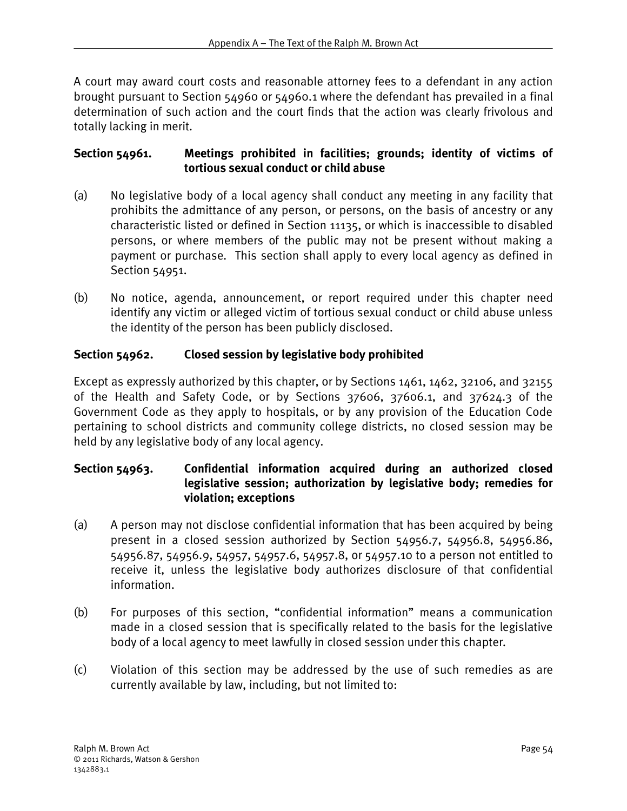A court may award court costs and reasonable attorney fees to a defendant in any action brought pursuant to Section 54960 or 54960.1 where the defendant has prevailed in a final determination of such action and the court finds that the action was clearly frivolous and totally lacking in merit.

#### **Section 54961. Meetings prohibited in facilities; grounds; identity of victims of tortious sexual conduct or child abuse**

- (a) No legislative body of a local agency shall conduct any meeting in any facility that prohibits the admittance of any person, or persons, on the basis of ancestry or any characteristic listed or defined in Section 11135, or which is inaccessible to disabled persons, or where members of the public may not be present without making a payment or purchase. This section shall apply to every local agency as defined in Section 54951.
- (b) No notice, agenda, announcement, or report required under this chapter need identify any victim or alleged victim of tortious sexual conduct or child abuse unless the identity of the person has been publicly disclosed.

## **Section 54962. Closed session by legislative body prohibited**

Except as expressly authorized by this chapter, or by Sections 1461, 1462, 32106, and 32155 of the Health and Safety Code, or by Sections 37606, 37606.1, and 37624.3 of the Government Code as they apply to hospitals, or by any provision of the Education Code pertaining to school districts and community college districts, no closed session may be held by any legislative body of any local agency.

#### **Section 54963. Confidential information acquired during an authorized closed legislative session; authorization by legislative body; remedies for violation; exceptions**

- (a) A person may not disclose confidential information that has been acquired by being present in a closed session authorized by Section 54956.7, 54956.8, 54956.86, 54956.87, 54956.9, 54957, 54957.6, 54957.8, or 54957.10 to a person not entitled to receive it, unless the legislative body authorizes disclosure of that confidential information.
- (b) For purposes of this section, "confidential information" means a communication made in a closed session that is specifically related to the basis for the legislative body of a local agency to meet lawfully in closed session under this chapter.
- (c) Violation of this section may be addressed by the use of such remedies as are currently available by law, including, but not limited to: